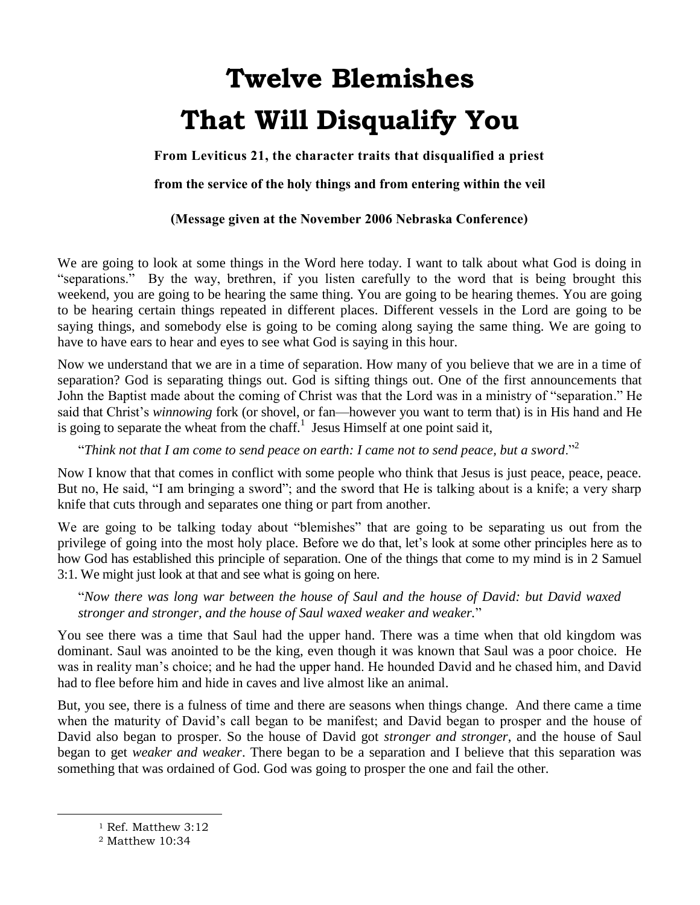# **Twelve Blemishes That Will Disqualify You**

**From Leviticus 21, the character traits that disqualified a priest** 

**from the service of the holy things and from entering within the veil**

## **(Message given at the November 2006 Nebraska Conference)**

We are going to look at some things in the Word here today. I want to talk about what God is doing in "separations." By the way, brethren, if you listen carefully to the word that is being brought this weekend, you are going to be hearing the same thing. You are going to be hearing themes. You are going to be hearing certain things repeated in different places. Different vessels in the Lord are going to be saying things, and somebody else is going to be coming along saying the same thing. We are going to have to have ears to hear and eyes to see what God is saying in this hour.

Now we understand that we are in a time of separation. How many of you believe that we are in a time of separation? God is separating things out. God is sifting things out. One of the first announcements that John the Baptist made about the coming of Christ was that the Lord was in a ministry of "separation." He said that Christ's *winnowing* fork (or shovel, or fan—however you want to term that) is in His hand and He is going to separate the wheat from the chaff.<sup>1</sup> Jesus Himself at one point said it,

"*Think not that I am come to send peace on earth: I came not to send peace, but a sword*."<sup>2</sup>

Now I know that that comes in conflict with some people who think that Jesus is just peace, peace, peace. But no, He said, "I am bringing a sword"; and the sword that He is talking about is a knife; a very sharp knife that cuts through and separates one thing or part from another.

We are going to be talking today about "blemishes" that are going to be separating us out from the privilege of going into the most holy place. Before we do that, let's look at some other principles here as to how God has established this principle of separation. One of the things that come to my mind is in 2 Samuel 3:1. We might just look at that and see what is going on here.

"*Now there was long war between the house of Saul and the house of David: but David waxed stronger and stronger, and the house of Saul waxed weaker and weaker.*"

You see there was a time that Saul had the upper hand. There was a time when that old kingdom was dominant. Saul was anointed to be the king, even though it was known that Saul was a poor choice. He was in reality man's choice; and he had the upper hand. He hounded David and he chased him, and David had to flee before him and hide in caves and live almost like an animal.

But, you see, there is a fulness of time and there are seasons when things change. And there came a time when the maturity of David's call began to be manifest; and David began to prosper and the house of David also began to prosper. So the house of David got *stronger and stronger*, and the house of Saul began to get *weaker and weaker*. There began to be a separation and I believe that this separation was something that was ordained of God. God was going to prosper the one and fail the other.

<sup>1</sup> Ref. Matthew 3:12

<sup>2</sup> Matthew 10:34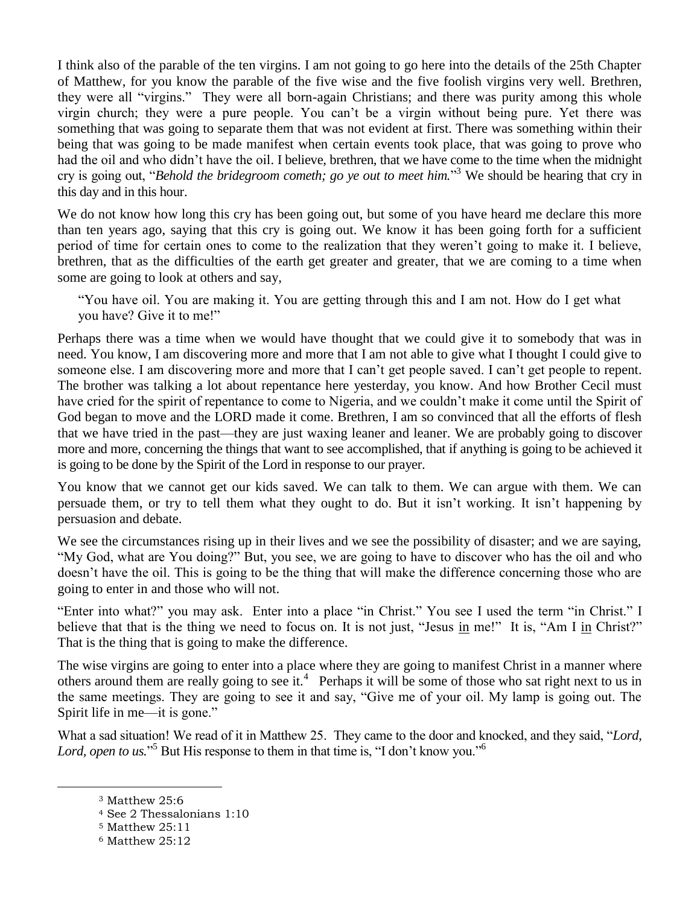I think also of the parable of the ten virgins. I am not going to go here into the details of the 25th Chapter of Matthew, for you know the parable of the five wise and the five foolish virgins very well. Brethren, they were all "virgins." They were all born-again Christians; and there was purity among this whole virgin church; they were a pure people. You can't be a virgin without being pure. Yet there was something that was going to separate them that was not evident at first. There was something within their being that was going to be made manifest when certain events took place, that was going to prove who had the oil and who didn't have the oil. I believe, brethren, that we have come to the time when the midnight cry is going out, "*Behold the bridegroom cometh; go ye out to meet him.*" <sup>3</sup> We should be hearing that cry in this day and in this hour.

We do not know how long this cry has been going out, but some of you have heard me declare this more than ten years ago, saying that this cry is going out. We know it has been going forth for a sufficient period of time for certain ones to come to the realization that they weren't going to make it. I believe, brethren, that as the difficulties of the earth get greater and greater, that we are coming to a time when some are going to look at others and say,

"You have oil. You are making it. You are getting through this and I am not. How do I get what you have? Give it to me!"

Perhaps there was a time when we would have thought that we could give it to somebody that was in need. You know, I am discovering more and more that I am not able to give what I thought I could give to someone else. I am discovering more and more that I can't get people saved. I can't get people to repent. The brother was talking a lot about repentance here yesterday, you know. And how Brother Cecil must have cried for the spirit of repentance to come to Nigeria, and we couldn't make it come until the Spirit of God began to move and the LORD made it come. Brethren, I am so convinced that all the efforts of flesh that we have tried in the past—they are just waxing leaner and leaner. We are probably going to discover more and more, concerning the things that want to see accomplished, that if anything is going to be achieved it is going to be done by the Spirit of the Lord in response to our prayer.

You know that we cannot get our kids saved. We can talk to them. We can argue with them. We can persuade them, or try to tell them what they ought to do. But it isn't working. It isn't happening by persuasion and debate.

We see the circumstances rising up in their lives and we see the possibility of disaster; and we are saying, "My God, what are You doing?" But, you see, we are going to have to discover who has the oil and who doesn't have the oil. This is going to be the thing that will make the difference concerning those who are going to enter in and those who will not.

"Enter into what?" you may ask. Enter into a place "in Christ." You see I used the term "in Christ." I believe that that is the thing we need to focus on. It is not just, "Jesus in me!" It is, "Am I in Christ?" That is the thing that is going to make the difference.

The wise virgins are going to enter into a place where they are going to manifest Christ in a manner where others around them are really going to see it.<sup>4</sup> Perhaps it will be some of those who sat right next to us in the same meetings. They are going to see it and say, "Give me of your oil. My lamp is going out. The Spirit life in me—it is gone."

What a sad situation! We read of it in Matthew 25. They came to the door and knocked, and they said, "*Lord,*  Lord, open to us."<sup>5</sup> But His response to them in that time is, "I don't know you."<sup>6</sup>

<sup>3</sup> Matthew 25:6

<sup>4</sup> See 2 Thessalonians 1:10

<sup>5</sup> Matthew 25:11

<sup>6</sup> Matthew 25:12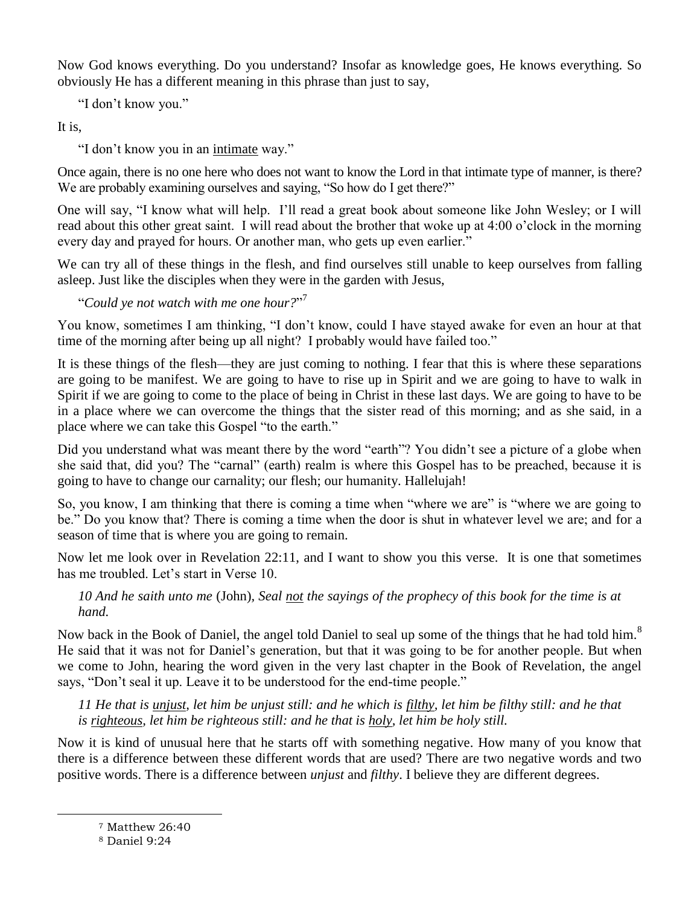Now God knows everything. Do you understand? Insofar as knowledge goes, He knows everything. So obviously He has a different meaning in this phrase than just to say,

"I don't know you."

It is,

"I don't know you in an intimate way."

Once again, there is no one here who does not want to know the Lord in that intimate type of manner, is there? We are probably examining ourselves and saying, "So how do I get there?"

One will say, "I know what will help. I'll read a great book about someone like John Wesley; or I will read about this other great saint. I will read about the brother that woke up at 4:00 o'clock in the morning every day and prayed for hours. Or another man, who gets up even earlier."

We can try all of these things in the flesh, and find ourselves still unable to keep ourselves from falling asleep. Just like the disciples when they were in the garden with Jesus,

"*Could ye not watch with me one hour?*" 7

You know, sometimes I am thinking, "I don't know, could I have stayed awake for even an hour at that time of the morning after being up all night? I probably would have failed too."

It is these things of the flesh—they are just coming to nothing. I fear that this is where these separations are going to be manifest. We are going to have to rise up in Spirit and we are going to have to walk in Spirit if we are going to come to the place of being in Christ in these last days. We are going to have to be in a place where we can overcome the things that the sister read of this morning; and as she said, in a place where we can take this Gospel "to the earth."

Did you understand what was meant there by the word "earth"? You didn't see a picture of a globe when she said that, did you? The "carnal" (earth) realm is where this Gospel has to be preached, because it is going to have to change our carnality; our flesh; our humanity. Hallelujah!

So, you know, I am thinking that there is coming a time when "where we are" is "where we are going to be." Do you know that? There is coming a time when the door is shut in whatever level we are; and for a season of time that is where you are going to remain.

Now let me look over in Revelation 22:11, and I want to show you this verse. It is one that sometimes has me troubled. Let's start in Verse 10.

## *10 And he saith unto me* (John)*, Seal not the sayings of the prophecy of this book for the time is at hand.*

Now back in the Book of Daniel, the angel told Daniel to seal up some of the things that he had told him.<sup>8</sup> He said that it was not for Daniel's generation, but that it was going to be for another people. But when we come to John, hearing the word given in the very last chapter in the Book of Revelation, the angel says, "Don't seal it up. Leave it to be understood for the end-time people."

*11 He that is unjust, let him be unjust still: and he which is filthy, let him be filthy still: and he that is righteous, let him be righteous still: and he that is holy, let him be holy still.*

Now it is kind of unusual here that he starts off with something negative. How many of you know that there is a difference between these different words that are used? There are two negative words and two positive words. There is a difference between *unjust* and *filthy*. I believe they are different degrees.

<sup>7</sup> Matthew 26:40

<sup>8</sup> Daniel 9:24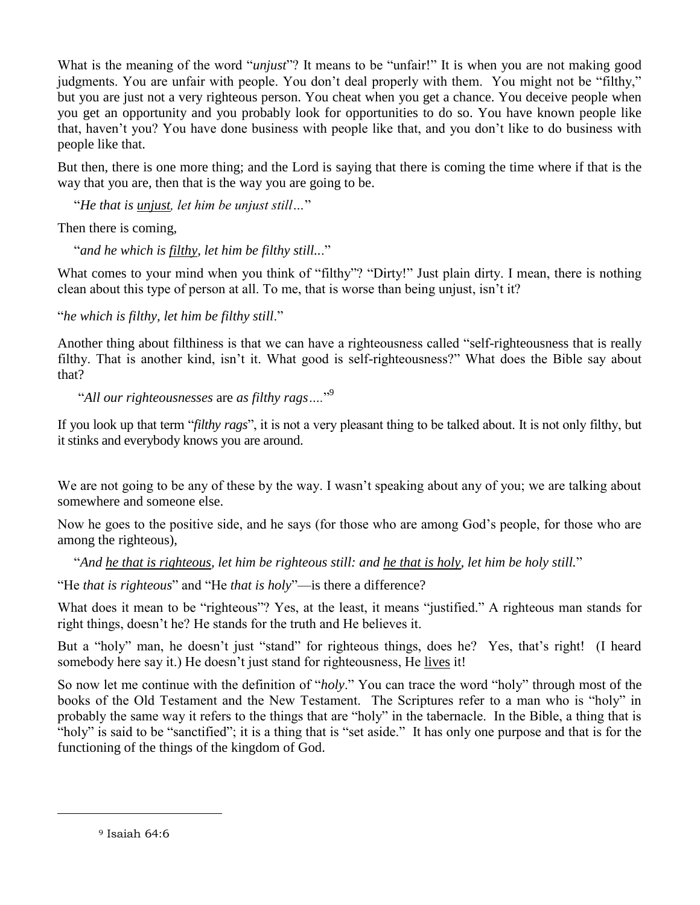What is the meaning of the word "*unjust*"? It means to be "unfair!" It is when you are not making good judgments. You are unfair with people. You don't deal properly with them. You might not be "filthy," but you are just not a very righteous person. You cheat when you get a chance. You deceive people when you get an opportunity and you probably look for opportunities to do so. You have known people like that, haven't you? You have done business with people like that, and you don't like to do business with people like that.

But then, there is one more thing; and the Lord is saying that there is coming the time where if that is the way that you are, then that is the way you are going to be.

"*He that is unjust, let him be unjust still…*"

Then there is coming,

"*and he which is filthy, let him be filthy still..*."

What comes to your mind when you think of "filthy"? "Dirty!" Just plain dirty. I mean, there is nothing clean about this type of person at all. To me, that is worse than being unjust, isn't it?

"*he which is filthy, let him be filthy still*."

Another thing about filthiness is that we can have a righteousness called "self-righteousness that is really filthy. That is another kind, isn't it. What good is self-righteousness?" What does the Bible say about that?

"*All our righteousnesses* are *as filthy rags….*" 9

If you look up that term "*filthy rags*", it is not a very pleasant thing to be talked about. It is not only filthy, but it stinks and everybody knows you are around.

We are not going to be any of these by the way. I wasn't speaking about any of you; we are talking about somewhere and someone else.

Now he goes to the positive side, and he says (for those who are among God's people, for those who are among the righteous),

"*And he that is righteous, let him be righteous still: and he that is holy, let him be holy still.*"

"He *that is righteous*" and "He *that is holy*"—is there a difference?

What does it mean to be "righteous"? Yes, at the least, it means "justified." A righteous man stands for right things, doesn't he? He stands for the truth and He believes it.

But a "holy" man, he doesn't just "stand" for righteous things, does he? Yes, that's right! (I heard somebody here say it.) He doesn't just stand for righteousness, He lives it!

So now let me continue with the definition of "*holy*." You can trace the word "holy" through most of the books of the Old Testament and the New Testament. The Scriptures refer to a man who is "holy" in probably the same way it refers to the things that are "holy" in the tabernacle. In the Bible, a thing that is "holy" is said to be "sanctified"; it is a thing that is "set aside." It has only one purpose and that is for the functioning of the things of the kingdom of God.

<sup>9</sup> Isaiah 64:6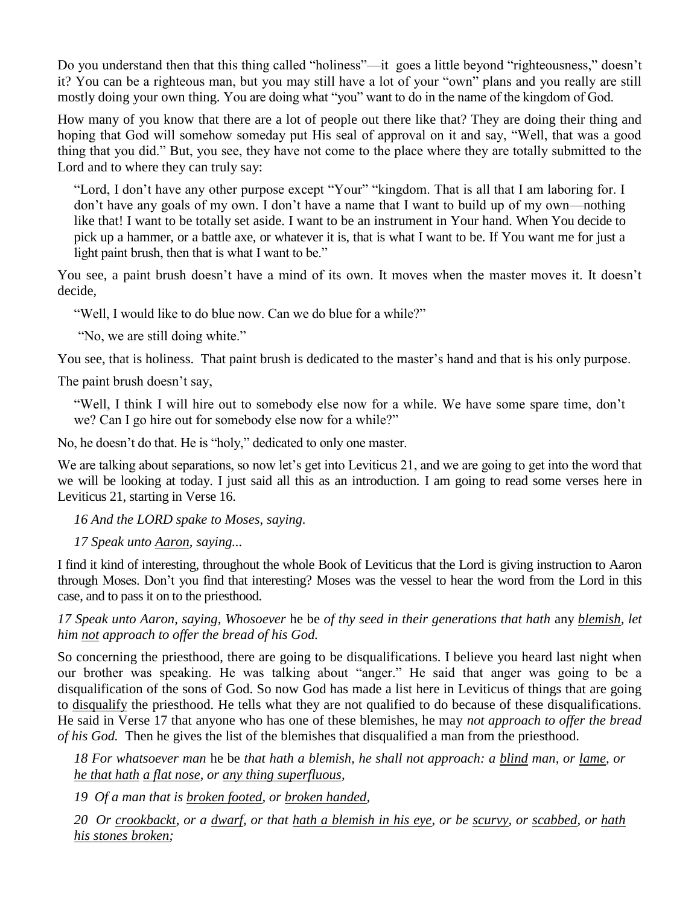Do you understand then that this thing called "holiness"—it goes a little beyond "righteousness," doesn't it? You can be a righteous man, but you may still have a lot of your "own" plans and you really are still mostly doing your own thing. You are doing what "you" want to do in the name of the kingdom of God.

How many of you know that there are a lot of people out there like that? They are doing their thing and hoping that God will somehow someday put His seal of approval on it and say, "Well, that was a good thing that you did." But, you see, they have not come to the place where they are totally submitted to the Lord and to where they can truly say:

"Lord, I don't have any other purpose except "Your" "kingdom. That is all that I am laboring for. I don't have any goals of my own. I don't have a name that I want to build up of my own—nothing like that! I want to be totally set aside. I want to be an instrument in Your hand. When You decide to pick up a hammer, or a battle axe, or whatever it is, that is what I want to be. If You want me for just a light paint brush, then that is what I want to be."

You see, a paint brush doesn't have a mind of its own. It moves when the master moves it. It doesn't decide,

"Well, I would like to do blue now. Can we do blue for a while?"

"No, we are still doing white."

You see, that is holiness. That paint brush is dedicated to the master's hand and that is his only purpose.

The paint brush doesn't say,

"Well, I think I will hire out to somebody else now for a while. We have some spare time, don't we? Can I go hire out for somebody else now for a while?"

No, he doesn't do that. He is "holy," dedicated to only one master.

We are talking about separations, so now let's get into Leviticus 21, and we are going to get into the word that we will be looking at today. I just said all this as an introduction. I am going to read some verses here in Leviticus 21, starting in Verse 16.

*16 And the LORD spake to Moses, saying.*

*17 Speak unto Aaron, saying...*

I find it kind of interesting, throughout the whole Book of Leviticus that the Lord is giving instruction to Aaron through Moses. Don't you find that interesting? Moses was the vessel to hear the word from the Lord in this case, and to pass it on to the priesthood.

*17 Speak unto Aaron, saying, Whosoever* he be *of thy seed in their generations that hath* any *blemish, let him not approach to offer the bread of his God.*

So concerning the priesthood, there are going to be disqualifications. I believe you heard last night when our brother was speaking. He was talking about "anger." He said that anger was going to be a disqualification of the sons of God. So now God has made a list here in Leviticus of things that are going to disqualify the priesthood. He tells what they are not qualified to do because of these disqualifications. He said in Verse 17 that anyone who has one of these blemishes, he may *not approach to offer the bread of his God.* Then he gives the list of the blemishes that disqualified a man from the priesthood.

*18 For whatsoever man* he be *that hath a blemish, he shall not approach: a blind man, or lame, or he that hath a flat nose, or any thing superfluous,*

*19 Of a man that is broken footed, or broken handed,*

*20 Or crookbackt, or a dwarf, or that hath a blemish in his eye, or be scurvy, or scabbed, or hath his stones broken;*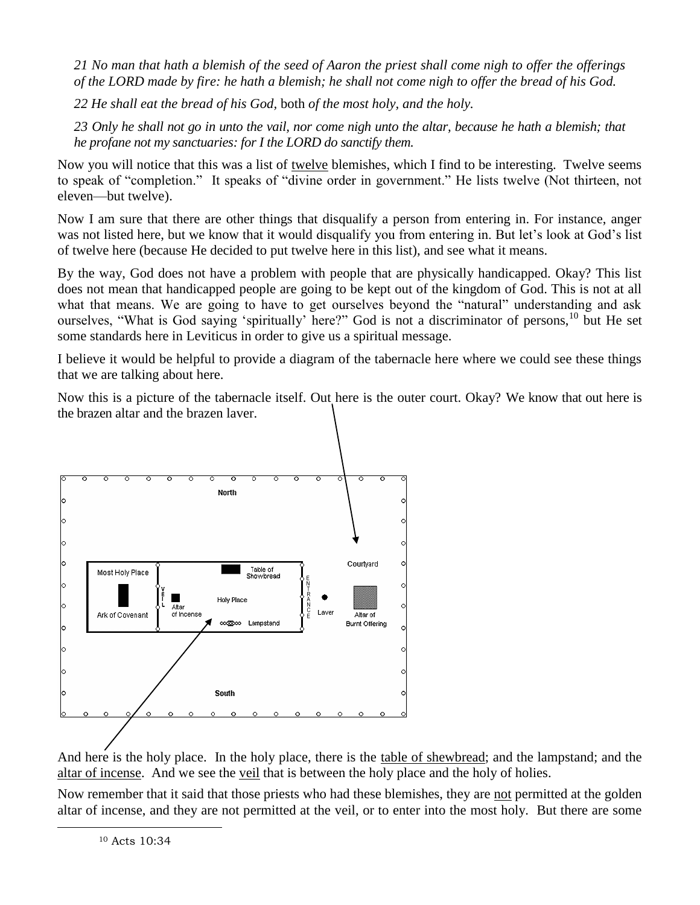*21 No man that hath a blemish of the seed of Aaron the priest shall come nigh to offer the offerings of the LORD made by fire: he hath a blemish; he shall not come nigh to offer the bread of his God.*

*22 He shall eat the bread of his God,* both *of the most holy, and the holy.*

*23 Only he shall not go in unto the vail, nor come nigh unto the altar, because he hath a blemish; that he profane not my sanctuaries: for I the LORD do sanctify them.*

Now you will notice that this was a list of twelve blemishes, which I find to be interesting. Twelve seems to speak of "completion." It speaks of "divine order in government." He lists twelve (Not thirteen, not eleven—but twelve).

Now I am sure that there are other things that disqualify a person from entering in. For instance, anger was not listed here, but we know that it would disqualify you from entering in. But let's look at God's list of twelve here (because He decided to put twelve here in this list), and see what it means.

By the way, God does not have a problem with people that are physically handicapped. Okay? This list does not mean that handicapped people are going to be kept out of the kingdom of God. This is not at all what that means. We are going to have to get ourselves beyond the "natural" understanding and ask ourselves, "What is God saying 'spiritually' here?" God is not a discriminator of persons,<sup>10</sup> but He set some standards here in Leviticus in order to give us a spiritual message.

I believe it would be helpful to provide a diagram of the tabernacle here where we could see these things that we are talking about here.

Now this is a picture of the tabernacle itself. Out here is the outer court. Okay? We know that out here is the brazen altar and the brazen laver.



And here is the holy place. In the holy place, there is the table of shewbread; and the lampstand; and the altar of incense. And we see the <u>veil</u> that is between the holy place and the holy of holies.

Now remember that it said that those priests who had these blemishes, they are not permitted at the golden altar of incense, and they are not permitted at the veil, or to enter into the most holy. But there are some

<sup>10</sup> Acts 10:34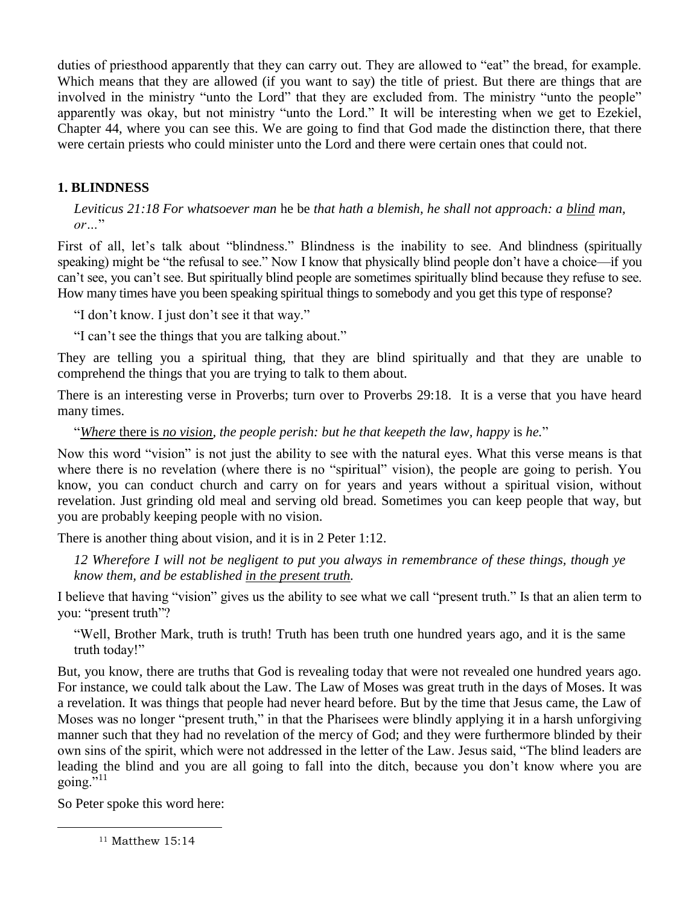duties of priesthood apparently that they can carry out. They are allowed to "eat" the bread, for example. Which means that they are allowed (if you want to say) the title of priest. But there are things that are involved in the ministry "unto the Lord" that they are excluded from. The ministry "unto the people" apparently was okay, but not ministry "unto the Lord." It will be interesting when we get to Ezekiel, Chapter 44, where you can see this. We are going to find that God made the distinction there, that there were certain priests who could minister unto the Lord and there were certain ones that could not.

## **1. BLINDNESS**

*Leviticus 21:18 For whatsoever man* he be *that hath a blemish, he shall not approach: a blind man,*   $or "$ 

First of all, let's talk about "blindness." Blindness is the inability to see. And blindness (spiritually speaking) might be "the refusal to see." Now I know that physically blind people don't have a choice—if you can't see, you can't see. But spiritually blind people are sometimes spiritually blind because they refuse to see. How many times have you been speaking spiritual things to somebody and you get this type of response?

"I don't know. I just don't see it that way."

"I can't see the things that you are talking about."

They are telling you a spiritual thing, that they are blind spiritually and that they are unable to comprehend the things that you are trying to talk to them about.

There is an interesting verse in Proverbs; turn over to Proverbs 29:18. It is a verse that you have heard many times.

"*Where* there is *no vision, the people perish: but he that keepeth the law, happy* is *he.*"

Now this word "vision" is not just the ability to see with the natural eyes. What this verse means is that where there is no revelation (where there is no "spiritual" vision), the people are going to perish. You know, you can conduct church and carry on for years and years without a spiritual vision, without revelation. Just grinding old meal and serving old bread. Sometimes you can keep people that way, but you are probably keeping people with no vision.

There is another thing about vision, and it is in 2 Peter 1:12.

*12 Wherefore I will not be negligent to put you always in remembrance of these things, though ye know them, and be established in the present truth.*

I believe that having "vision" gives us the ability to see what we call "present truth." Is that an alien term to you: "present truth"?

"Well, Brother Mark, truth is truth! Truth has been truth one hundred years ago, and it is the same truth today!"

But, you know, there are truths that God is revealing today that were not revealed one hundred years ago. For instance, we could talk about the Law. The Law of Moses was great truth in the days of Moses. It was a revelation. It was things that people had never heard before. But by the time that Jesus came, the Law of Moses was no longer "present truth," in that the Pharisees were blindly applying it in a harsh unforgiving manner such that they had no revelation of the mercy of God; and they were furthermore blinded by their own sins of the spirit, which were not addressed in the letter of the Law. Jesus said, "The blind leaders are leading the blind and you are all going to fall into the ditch, because you don't know where you are going $\overline{N}$ <sup>11</sup>

So Peter spoke this word here:

<sup>11</sup> Matthew 15:14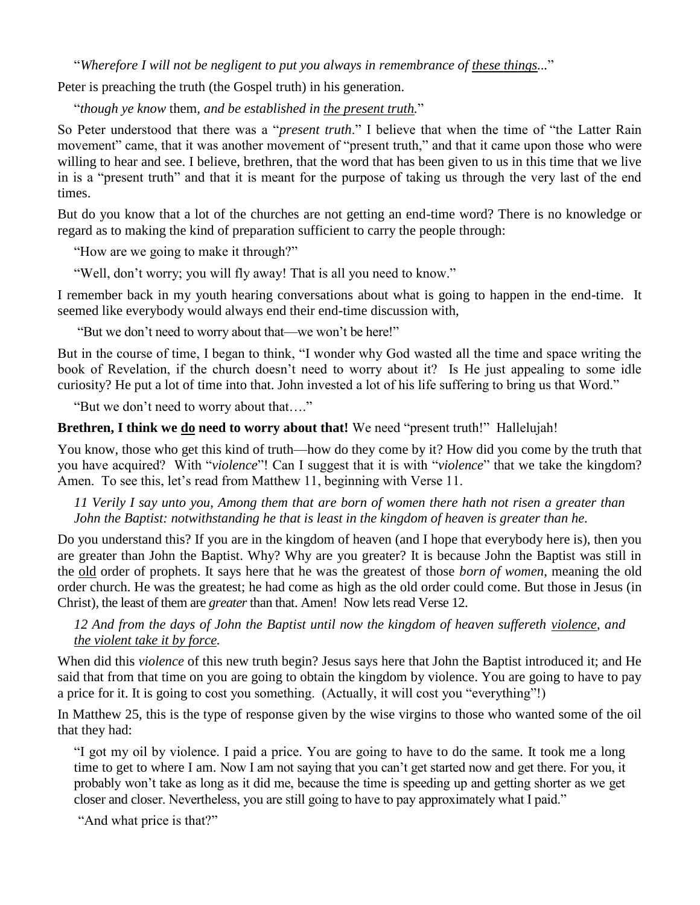"*Wherefore I will not be negligent to put you always in remembrance of these things...*"

Peter is preaching the truth (the Gospel truth) in his generation.

"*though ye know* them*, and be established in the present truth.*"

So Peter understood that there was a "*present truth*." I believe that when the time of "the Latter Rain movement" came, that it was another movement of "present truth," and that it came upon those who were willing to hear and see. I believe, brethren, that the word that has been given to us in this time that we live in is a "present truth" and that it is meant for the purpose of taking us through the very last of the end times.

But do you know that a lot of the churches are not getting an end-time word? There is no knowledge or regard as to making the kind of preparation sufficient to carry the people through:

"How are we going to make it through?"

"Well, don't worry; you will fly away! That is all you need to know."

I remember back in my youth hearing conversations about what is going to happen in the end-time. It seemed like everybody would always end their end-time discussion with,

"But we don't need to worry about that—we won't be here!"

But in the course of time, I began to think, "I wonder why God wasted all the time and space writing the book of Revelation, if the church doesn't need to worry about it? Is He just appealing to some idle curiosity? He put a lot of time into that. John invested a lot of his life suffering to bring us that Word."

"But we don't need to worry about that…."

#### **Brethren, I think we do need to worry about that!** We need "present truth!" Hallelujah!

You know, those who get this kind of truth—how do they come by it? How did you come by the truth that you have acquired? With "*violence*"! Can I suggest that it is with "*violence*" that we take the kingdom? Amen. To see this, let's read from Matthew 11, beginning with Verse 11.

*11 Verily I say unto you, Among them that are born of women there hath not risen a greater than John the Baptist: notwithstanding he that is least in the kingdom of heaven is greater than he.*

Do you understand this? If you are in the kingdom of heaven (and I hope that everybody here is), then you are greater than John the Baptist. Why? Why are you greater? It is because John the Baptist was still in the old order of prophets. It says here that he was the greatest of those *born of women*, meaning the old order church. He was the greatest; he had come as high as the old order could come. But those in Jesus (in Christ), the least of them are *greater* than that. Amen! Now lets read Verse 12.

*12 And from the days of John the Baptist until now the kingdom of heaven suffereth violence, and the violent take it by force.*

When did this *violence* of this new truth begin? Jesus says here that John the Baptist introduced it; and He said that from that time on you are going to obtain the kingdom by violence. You are going to have to pay a price for it. It is going to cost you something. (Actually, it will cost you "everything"!)

In Matthew 25, this is the type of response given by the wise virgins to those who wanted some of the oil that they had:

"I got my oil by violence. I paid a price. You are going to have to do the same. It took me a long time to get to where I am. Now I am not saying that you can't get started now and get there. For you, it probably won't take as long as it did me, because the time is speeding up and getting shorter as we get closer and closer. Nevertheless, you are still going to have to pay approximately what I paid."

"And what price is that?"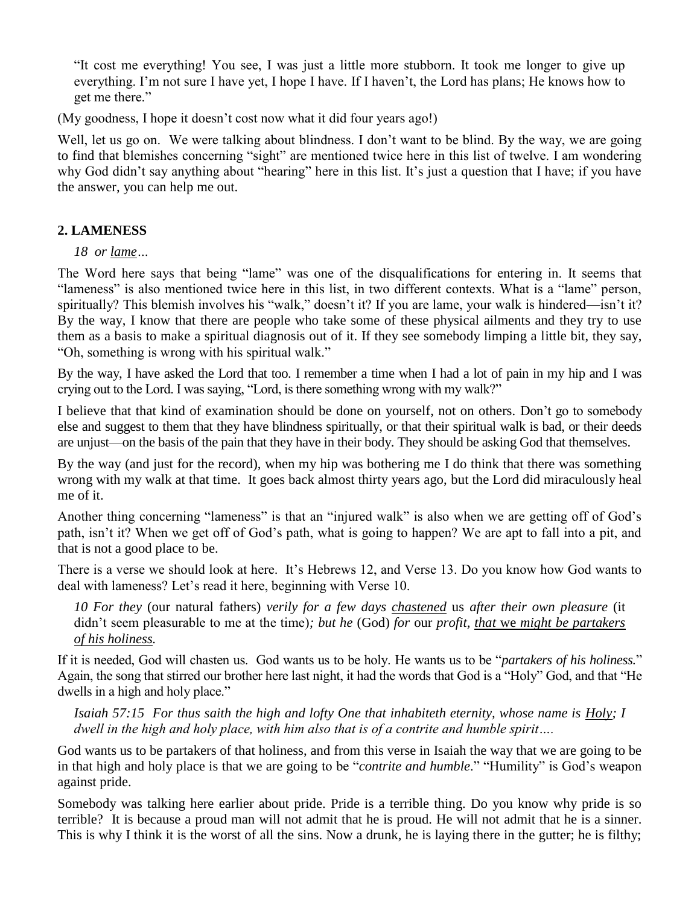"It cost me everything! You see, I was just a little more stubborn. It took me longer to give up everything. I'm not sure I have yet, I hope I have. If I haven't, the Lord has plans; He knows how to get me there."

(My goodness, I hope it doesn't cost now what it did four years ago!)

Well, let us go on. We were talking about blindness. I don't want to be blind. By the way, we are going to find that blemishes concerning "sight" are mentioned twice here in this list of twelve. I am wondering why God didn't say anything about "hearing" here in this list. It's just a question that I have; if you have the answer, you can help me out.

## **2. LAMENESS**

*18 or lame…* 

The Word here says that being "lame" was one of the disqualifications for entering in. It seems that "lameness" is also mentioned twice here in this list, in two different contexts. What is a "lame" person, spiritually? This blemish involves his "walk," doesn't it? If you are lame, your walk is hindered—isn't it? By the way, I know that there are people who take some of these physical ailments and they try to use them as a basis to make a spiritual diagnosis out of it. If they see somebody limping a little bit, they say, "Oh, something is wrong with his spiritual walk."

By the way, I have asked the Lord that too. I remember a time when I had a lot of pain in my hip and I was crying out to the Lord. I was saying, "Lord, is there something wrong with my walk?"

I believe that that kind of examination should be done on yourself, not on others. Don't go to somebody else and suggest to them that they have blindness spiritually, or that their spiritual walk is bad, or their deeds are unjust—on the basis of the pain that they have in their body. They should be asking God that themselves.

By the way (and just for the record), when my hip was bothering me I do think that there was something wrong with my walk at that time. It goes back almost thirty years ago, but the Lord did miraculously heal me of it.

Another thing concerning "lameness" is that an "injured walk" is also when we are getting off of God's path, isn't it? When we get off of God's path, what is going to happen? We are apt to fall into a pit, and that is not a good place to be.

There is a verse we should look at here. It's Hebrews 12, and Verse 13. Do you know how God wants to deal with lameness? Let's read it here, beginning with Verse 10.

*10 For they* (our natural fathers) *verily for a few days chastened* us *after their own pleasure* (it didn't seem pleasurable to me at the time)*; but he* (God) *for* our *profit, that* we *might be partakers of his holiness.*

If it is needed, God will chasten us. God wants us to be holy. He wants us to be "*partakers of his holiness.*" Again, the song that stirred our brother here last night, it had the words that God is a "Holy" God, and that "He dwells in a high and holy place."

*Isaiah 57:15 For thus saith the high and lofty One that inhabiteth eternity, whose name is Holy; I dwell in the high and holy place, with him also that is of a contrite and humble spirit….*

God wants us to be partakers of that holiness, and from this verse in Isaiah the way that we are going to be in that high and holy place is that we are going to be "*contrite and humble*." "Humility" is God's weapon against pride.

Somebody was talking here earlier about pride. Pride is a terrible thing. Do you know why pride is so terrible? It is because a proud man will not admit that he is proud. He will not admit that he is a sinner. This is why I think it is the worst of all the sins. Now a drunk, he is laying there in the gutter; he is filthy;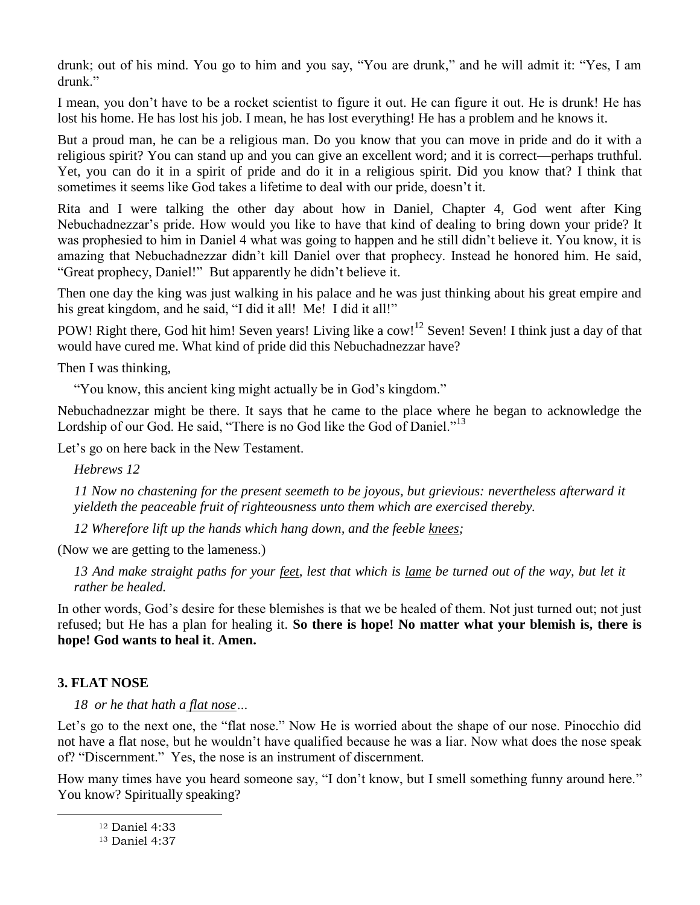drunk; out of his mind. You go to him and you say, "You are drunk," and he will admit it: "Yes, I am drunk."

I mean, you don't have to be a rocket scientist to figure it out. He can figure it out. He is drunk! He has lost his home. He has lost his job. I mean, he has lost everything! He has a problem and he knows it.

But a proud man, he can be a religious man. Do you know that you can move in pride and do it with a religious spirit? You can stand up and you can give an excellent word; and it is correct—perhaps truthful. Yet, you can do it in a spirit of pride and do it in a religious spirit. Did you know that? I think that sometimes it seems like God takes a lifetime to deal with our pride, doesn't it.

Rita and I were talking the other day about how in Daniel, Chapter 4, God went after King Nebuchadnezzar's pride. How would you like to have that kind of dealing to bring down your pride? It was prophesied to him in Daniel 4 what was going to happen and he still didn't believe it. You know, it is amazing that Nebuchadnezzar didn't kill Daniel over that prophecy. Instead he honored him. He said, "Great prophecy, Daniel!" But apparently he didn't believe it.

Then one day the king was just walking in his palace and he was just thinking about his great empire and his great kingdom, and he said, "I did it all! Me! I did it all!"

POW! Right there, God hit him! Seven years! Living like a cow!<sup>12</sup> Seven! Seven! I think just a day of that would have cured me. What kind of pride did this Nebuchadnezzar have?

Then I was thinking,

"You know, this ancient king might actually be in God's kingdom."

Nebuchadnezzar might be there. It says that he came to the place where he began to acknowledge the Lordship of our God. He said, "There is no God like the God of Daniel."<sup>13</sup>

Let's go on here back in the New Testament.

*Hebrews 12*

*11 Now no chastening for the present seemeth to be joyous, but grievious: nevertheless afterward it yieldeth the peaceable fruit of righteousness unto them which are exercised thereby.* 

*12 Wherefore lift up the hands which hang down, and the feeble knees;*

(Now we are getting to the lameness.)

*13 And make straight paths for your feet, lest that which is lame be turned out of the way, but let it rather be healed.*

In other words, God's desire for these blemishes is that we be healed of them. Not just turned out; not just refused; but He has a plan for healing it. **So there is hope! No matter what your blemish is, there is hope! God wants to heal it**. **Amen.**

## **3. FLAT NOSE**

 $\overline{a}$ 

*18 or he that hath a flat nose…*

Let's go to the next one, the "flat nose." Now He is worried about the shape of our nose. Pinocchio did not have a flat nose, but he wouldn't have qualified because he was a liar. Now what does the nose speak of? "Discernment." Yes, the nose is an instrument of discernment.

How many times have you heard someone say, "I don't know, but I smell something funny around here." You know? Spiritually speaking?

<sup>12</sup> Daniel 4:33

<sup>13</sup> Daniel 4:37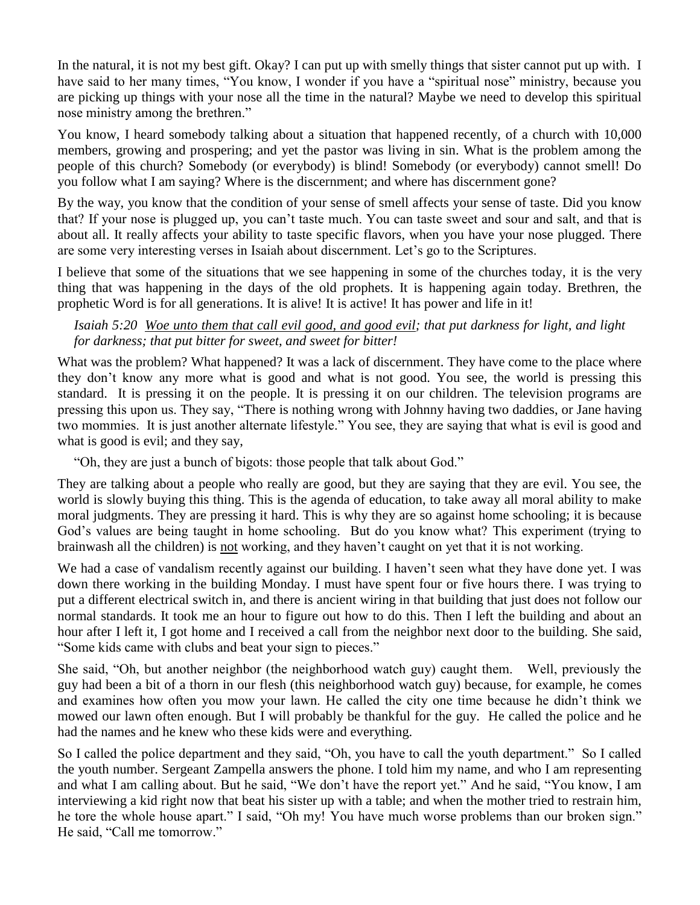In the natural, it is not my best gift. Okay? I can put up with smelly things that sister cannot put up with. I have said to her many times, "You know, I wonder if you have a "spiritual nose" ministry, because you are picking up things with your nose all the time in the natural? Maybe we need to develop this spiritual nose ministry among the brethren."

You know, I heard somebody talking about a situation that happened recently, of a church with 10,000 members, growing and prospering; and yet the pastor was living in sin. What is the problem among the people of this church? Somebody (or everybody) is blind! Somebody (or everybody) cannot smell! Do you follow what I am saying? Where is the discernment; and where has discernment gone?

By the way, you know that the condition of your sense of smell affects your sense of taste. Did you know that? If your nose is plugged up, you can't taste much. You can taste sweet and sour and salt, and that is about all. It really affects your ability to taste specific flavors, when you have your nose plugged. There are some very interesting verses in Isaiah about discernment. Let's go to the Scriptures.

I believe that some of the situations that we see happening in some of the churches today, it is the very thing that was happening in the days of the old prophets. It is happening again today. Brethren, the prophetic Word is for all generations. It is alive! It is active! It has power and life in it!

## *Isaiah 5:20 Woe unto them that call evil good, and good evil; that put darkness for light, and light for darkness; that put bitter for sweet, and sweet for bitter!*

What was the problem? What happened? It was a lack of discernment. They have come to the place where they don't know any more what is good and what is not good. You see, the world is pressing this standard. It is pressing it on the people. It is pressing it on our children. The television programs are pressing this upon us. They say, "There is nothing wrong with Johnny having two daddies, or Jane having two mommies. It is just another alternate lifestyle." You see, they are saying that what is evil is good and what is good is evil; and they say,

"Oh, they are just a bunch of bigots: those people that talk about God."

They are talking about a people who really are good, but they are saying that they are evil. You see, the world is slowly buying this thing. This is the agenda of education, to take away all moral ability to make moral judgments. They are pressing it hard. This is why they are so against home schooling; it is because God's values are being taught in home schooling. But do you know what? This experiment (trying to brainwash all the children) is not working, and they haven't caught on yet that it is not working.

We had a case of vandalism recently against our building. I haven't seen what they have done yet. I was down there working in the building Monday. I must have spent four or five hours there. I was trying to put a different electrical switch in, and there is ancient wiring in that building that just does not follow our normal standards. It took me an hour to figure out how to do this. Then I left the building and about an hour after I left it, I got home and I received a call from the neighbor next door to the building. She said, "Some kids came with clubs and beat your sign to pieces."

She said, "Oh, but another neighbor (the neighborhood watch guy) caught them. Well, previously the guy had been a bit of a thorn in our flesh (this neighborhood watch guy) because, for example, he comes and examines how often you mow your lawn. He called the city one time because he didn't think we mowed our lawn often enough. But I will probably be thankful for the guy. He called the police and he had the names and he knew who these kids were and everything.

So I called the police department and they said, "Oh, you have to call the youth department." So I called the youth number. Sergeant Zampella answers the phone. I told him my name, and who I am representing and what I am calling about. But he said, "We don't have the report yet." And he said, "You know, I am interviewing a kid right now that beat his sister up with a table; and when the mother tried to restrain him, he tore the whole house apart." I said, "Oh my! You have much worse problems than our broken sign." He said, "Call me tomorrow."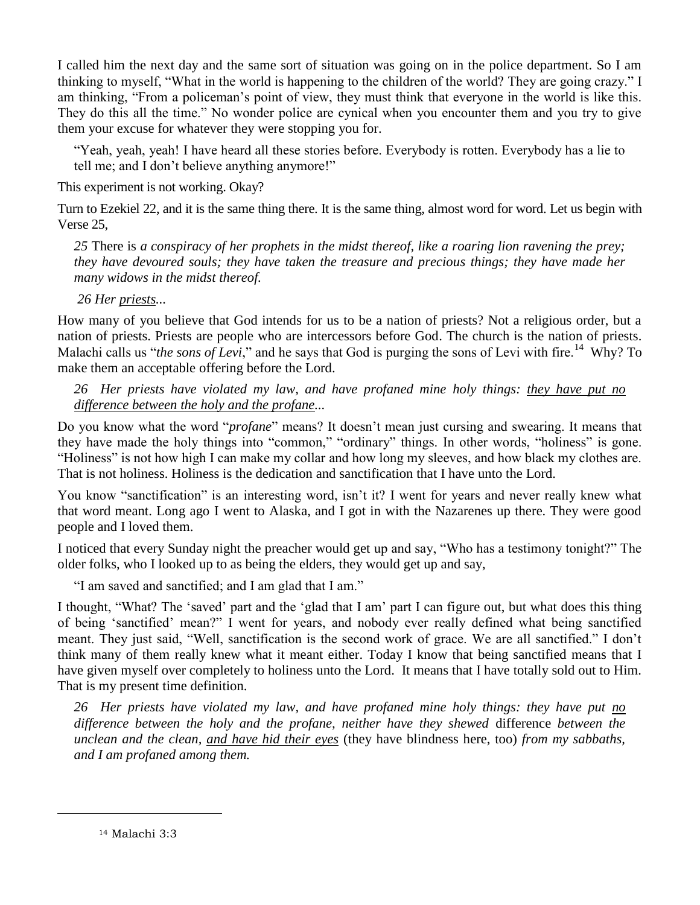I called him the next day and the same sort of situation was going on in the police department. So I am thinking to myself, "What in the world is happening to the children of the world? They are going crazy." I am thinking, "From a policeman's point of view, they must think that everyone in the world is like this. They do this all the time." No wonder police are cynical when you encounter them and you try to give them your excuse for whatever they were stopping you for.

"Yeah, yeah, yeah! I have heard all these stories before. Everybody is rotten. Everybody has a lie to tell me; and I don't believe anything anymore!"

This experiment is not working. Okay?

Turn to Ezekiel 22, and it is the same thing there. It is the same thing, almost word for word. Let us begin with Verse 25,

*25* There is *a conspiracy of her prophets in the midst thereof, like a roaring lion ravening the prey; they have devoured souls; they have taken the treasure and precious things; they have made her many widows in the midst thereof.* 

*26 Her priests...*

How many of you believe that God intends for us to be a nation of priests? Not a religious order, but a nation of priests. Priests are people who are intercessors before God. The church is the nation of priests. Malachi calls us "*the sons of Levi*," and he says that God is purging the sons of Levi with fire.<sup>14</sup> Why? To make them an acceptable offering before the Lord.

*26 Her priests have violated my law, and have profaned mine holy things: they have put no difference between the holy and the profane...* 

Do you know what the word "*profane*" means? It doesn't mean just cursing and swearing. It means that they have made the holy things into "common," "ordinary" things. In other words, "holiness" is gone. "Holiness" is not how high I can make my collar and how long my sleeves, and how black my clothes are. That is not holiness. Holiness is the dedication and sanctification that I have unto the Lord.

You know "sanctification" is an interesting word, isn't it? I went for years and never really knew what that word meant. Long ago I went to Alaska, and I got in with the Nazarenes up there. They were good people and I loved them.

I noticed that every Sunday night the preacher would get up and say, "Who has a testimony tonight?" The older folks, who I looked up to as being the elders, they would get up and say,

"I am saved and sanctified; and I am glad that I am."

I thought, "What? The 'saved' part and the 'glad that I am' part I can figure out, but what does this thing of being 'sanctified' mean?" I went for years, and nobody ever really defined what being sanctified meant. They just said, "Well, sanctification is the second work of grace. We are all sanctified." I don't think many of them really knew what it meant either. Today I know that being sanctified means that I have given myself over completely to holiness unto the Lord. It means that I have totally sold out to Him. That is my present time definition.

*26 Her priests have violated my law, and have profaned mine holy things: they have put no difference between the holy and the profane, neither have they shewed* difference *between the unclean and the clean, and have hid their eyes* (they have blindness here, too) *from my sabbaths, and I am profaned among them.* 

<sup>14</sup> Malachi 3:3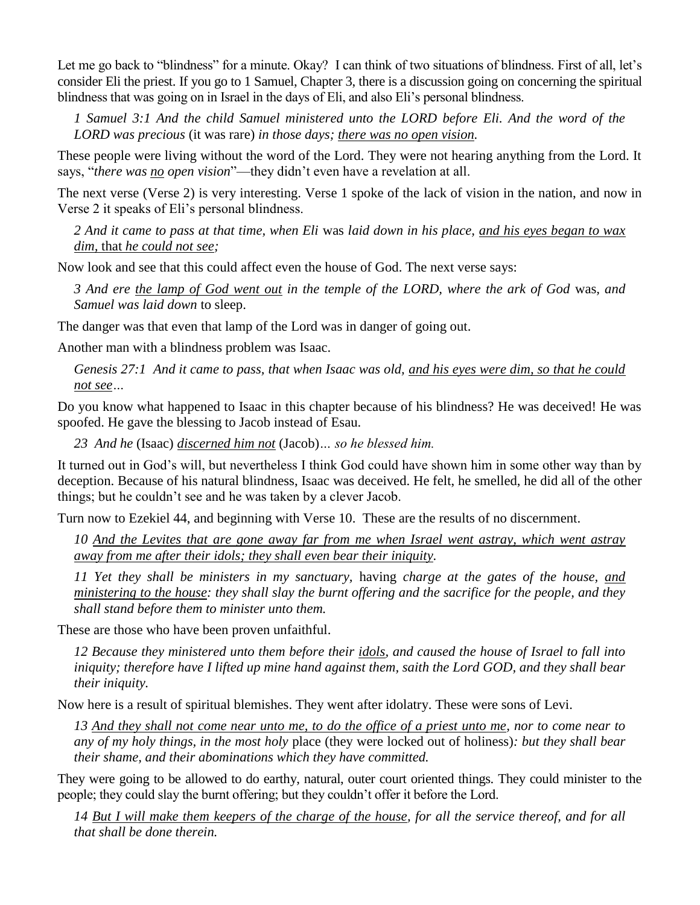Let me go back to "blindness" for a minute. Okay? I can think of two situations of blindness. First of all, let's consider Eli the priest. If you go to 1 Samuel, Chapter 3, there is a discussion going on concerning the spiritual blindness that was going on in Israel in the days of Eli, and also Eli's personal blindness.

*1 Samuel 3:1 And the child Samuel ministered unto the LORD before Eli. And the word of the LORD was precious* (it was rare) *in those days; there was no open vision.*

These people were living without the word of the Lord. They were not hearing anything from the Lord. It says, "*there was no open vision*"—they didn't even have a revelation at all.

The next verse (Verse 2) is very interesting. Verse 1 spoke of the lack of vision in the nation, and now in Verse 2 it speaks of Eli's personal blindness.

*2 And it came to pass at that time, when Eli* was *laid down in his place, and his eyes began to wax dim,* that *he could not see;*

Now look and see that this could affect even the house of God. The next verse says:

*3 And ere the lamp of God went out in the temple of the LORD, where the ark of God* was*, and Samuel was laid down* to sleep.

The danger was that even that lamp of the Lord was in danger of going out.

Another man with a blindness problem was Isaac.

*Genesis 27:1 And it came to pass, that when Isaac was old, and his eyes were dim, so that he could not see…*

Do you know what happened to Isaac in this chapter because of his blindness? He was deceived! He was spoofed. He gave the blessing to Jacob instead of Esau.

*23 And he* (Isaac) *discerned him not* (Jacob)*… so he blessed him.*

It turned out in God's will, but nevertheless I think God could have shown him in some other way than by deception. Because of his natural blindness, Isaac was deceived. He felt, he smelled, he did all of the other things; but he couldn't see and he was taken by a clever Jacob.

Turn now to Ezekiel 44, and beginning with Verse 10. These are the results of no discernment.

*10 And the Levites that are gone away far from me when Israel went astray, which went astray away from me after their idols; they shall even bear their iniquity.*

*11 Yet they shall be ministers in my sanctuary,* having *charge at the gates of the house, and ministering to the house: they shall slay the burnt offering and the sacrifice for the people, and they shall stand before them to minister unto them.*

These are those who have been proven unfaithful.

*12 Because they ministered unto them before their idols, and caused the house of Israel to fall into iniquity; therefore have I lifted up mine hand against them, saith the Lord GOD, and they shall bear their iniquity.*

Now here is a result of spiritual blemishes. They went after idolatry. These were sons of Levi.

*13 And they shall not come near unto me, to do the office of a priest unto me, nor to come near to any of my holy things, in the most holy* place (they were locked out of holiness)*: but they shall bear their shame, and their abominations which they have committed.*

They were going to be allowed to do earthy, natural, outer court oriented things. They could minister to the people; they could slay the burnt offering; but they couldn't offer it before the Lord.

*14 But I will make them keepers of the charge of the house, for all the service thereof, and for all that shall be done therein.*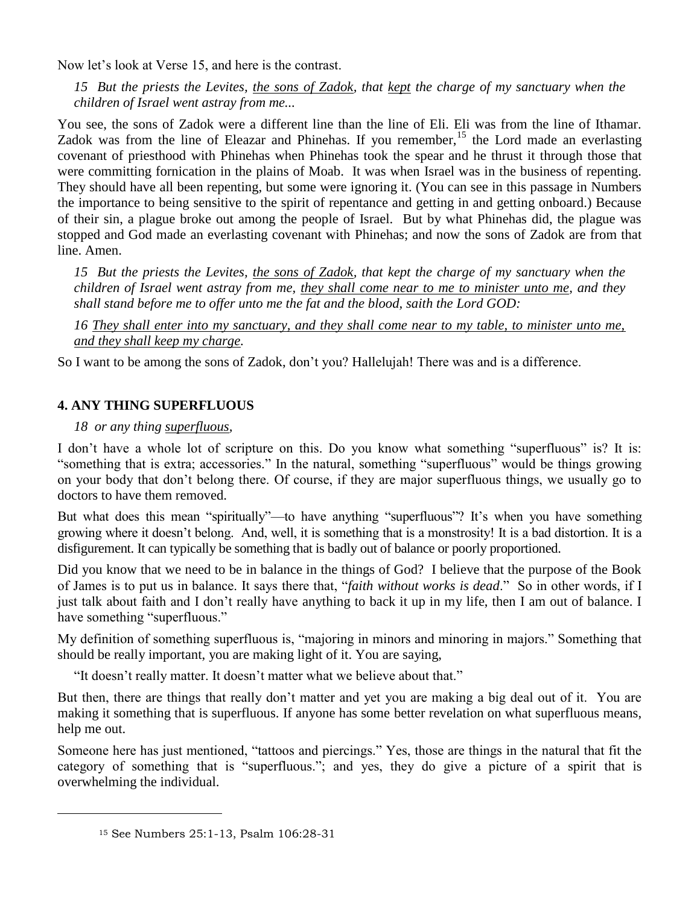Now let's look at Verse 15, and here is the contrast.

*15 But the priests the Levites, the sons of Zadok, that kept the charge of my sanctuary when the children of Israel went astray from me...*

You see, the sons of Zadok were a different line than the line of Eli. Eli was from the line of Ithamar. Zadok was from the line of Eleazar and Phinehas. If you remember,<sup>15</sup> the Lord made an everlasting covenant of priesthood with Phinehas when Phinehas took the spear and he thrust it through those that were committing fornication in the plains of Moab. It was when Israel was in the business of repenting. They should have all been repenting, but some were ignoring it. (You can see in this passage in Numbers the importance to being sensitive to the spirit of repentance and getting in and getting onboard.) Because of their sin, a plague broke out among the people of Israel. But by what Phinehas did, the plague was stopped and God made an everlasting covenant with Phinehas; and now the sons of Zadok are from that line. Amen.

*15 But the priests the Levites, the sons of Zadok, that kept the charge of my sanctuary when the children of Israel went astray from me, they shall come near to me to minister unto me, and they shall stand before me to offer unto me the fat and the blood, saith the Lord GOD:*

*16 They shall enter into my sanctuary, and they shall come near to my table, to minister unto me, and they shall keep my charge.*

So I want to be among the sons of Zadok, don't you? Hallelujah! There was and is a difference.

## **4. ANY THING SUPERFLUOUS**

#### *18 or any thing superfluous,*

I don't have a whole lot of scripture on this. Do you know what something "superfluous" is? It is: "something that is extra; accessories." In the natural, something "superfluous" would be things growing on your body that don't belong there. Of course, if they are major superfluous things, we usually go to doctors to have them removed.

But what does this mean "spiritually"—to have anything "superfluous"? It's when you have something growing where it doesn't belong. And, well, it is something that is a monstrosity! It is a bad distortion. It is a disfigurement. It can typically be something that is badly out of balance or poorly proportioned.

Did you know that we need to be in balance in the things of God? I believe that the purpose of the Book of James is to put us in balance. It says there that, "*faith without works is dead*." So in other words, if I just talk about faith and I don't really have anything to back it up in my life, then I am out of balance. I have something "superfluous."

My definition of something superfluous is, "majoring in minors and minoring in majors." Something that should be really important, you are making light of it. You are saying,

"It doesn't really matter. It doesn't matter what we believe about that."

But then, there are things that really don't matter and yet you are making a big deal out of it. You are making it something that is superfluous. If anyone has some better revelation on what superfluous means, help me out.

Someone here has just mentioned, "tattoos and piercings." Yes, those are things in the natural that fit the category of something that is "superfluous."; and yes, they do give a picture of a spirit that is overwhelming the individual.

<sup>15</sup> See Numbers 25:1-13, Psalm 106:28-31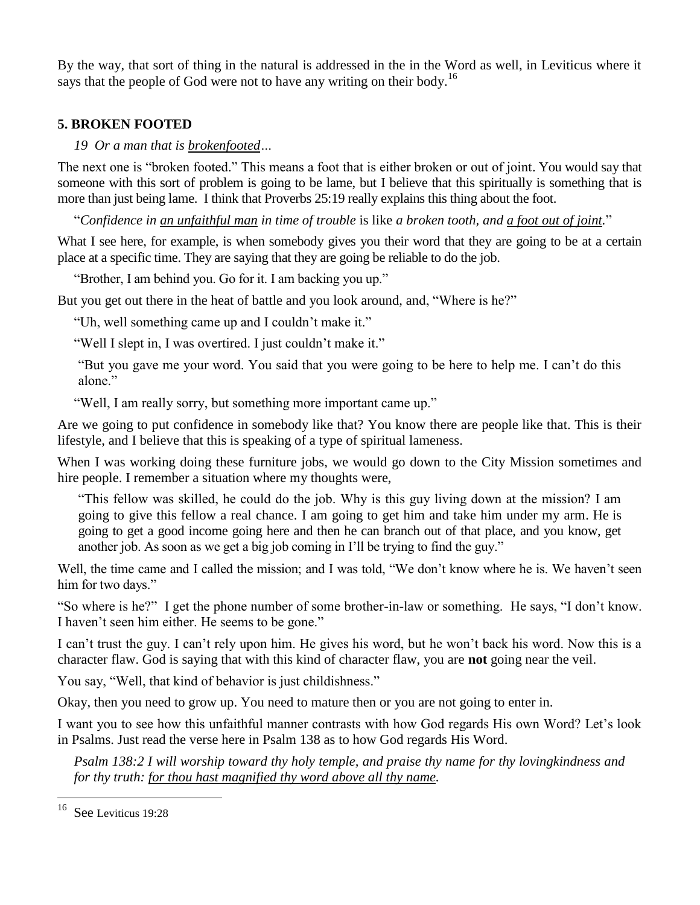By the way, that sort of thing in the natural is addressed in the in the Word as well, in Leviticus where it says that the people of God were not to have any writing on their body.<sup>16</sup>

## **5. BROKEN FOOTED**

## *19 Or a man that is brokenfooted…*

The next one is "broken footed." This means a foot that is either broken or out of joint. You would say that someone with this sort of problem is going to be lame, but I believe that this spiritually is something that is more than just being lame. I think that Proverbs 25:19 really explains this thing about the foot.

"*Confidence in an unfaithful man in time of trouble* is like *a broken tooth, and a foot out of joint.*"

What I see here, for example, is when somebody gives you their word that they are going to be at a certain place at a specific time. They are saying that they are going be reliable to do the job.

"Brother, I am behind you. Go for it. I am backing you up."

But you get out there in the heat of battle and you look around, and, "Where is he?"

"Uh, well something came up and I couldn't make it."

"Well I slept in, I was overtired. I just couldn't make it."

"But you gave me your word. You said that you were going to be here to help me. I can't do this alone<sup>"</sup>

"Well, I am really sorry, but something more important came up."

Are we going to put confidence in somebody like that? You know there are people like that. This is their lifestyle, and I believe that this is speaking of a type of spiritual lameness.

When I was working doing these furniture jobs, we would go down to the City Mission sometimes and hire people. I remember a situation where my thoughts were,

"This fellow was skilled, he could do the job. Why is this guy living down at the mission? I am going to give this fellow a real chance. I am going to get him and take him under my arm. He is going to get a good income going here and then he can branch out of that place, and you know, get another job. As soon as we get a big job coming in I'll be trying to find the guy."

Well, the time came and I called the mission; and I was told, "We don't know where he is. We haven't seen him for two days."

"So where is he?" I get the phone number of some brother-in-law or something. He says, "I don't know. I haven't seen him either. He seems to be gone."

I can't trust the guy. I can't rely upon him. He gives his word, but he won't back his word. Now this is a character flaw. God is saying that with this kind of character flaw, you are **not** going near the veil.

You say, "Well, that kind of behavior is just childishness."

Okay, then you need to grow up. You need to mature then or you are not going to enter in.

I want you to see how this unfaithful manner contrasts with how God regards His own Word? Let's look in Psalms. Just read the verse here in Psalm 138 as to how God regards His Word.

*Psalm 138:2 I will worship toward thy holy temple, and praise thy name for thy lovingkindness and for thy truth: for thou hast magnified thy word above all thy name.*

<sup>16</sup> See Leviticus 19:28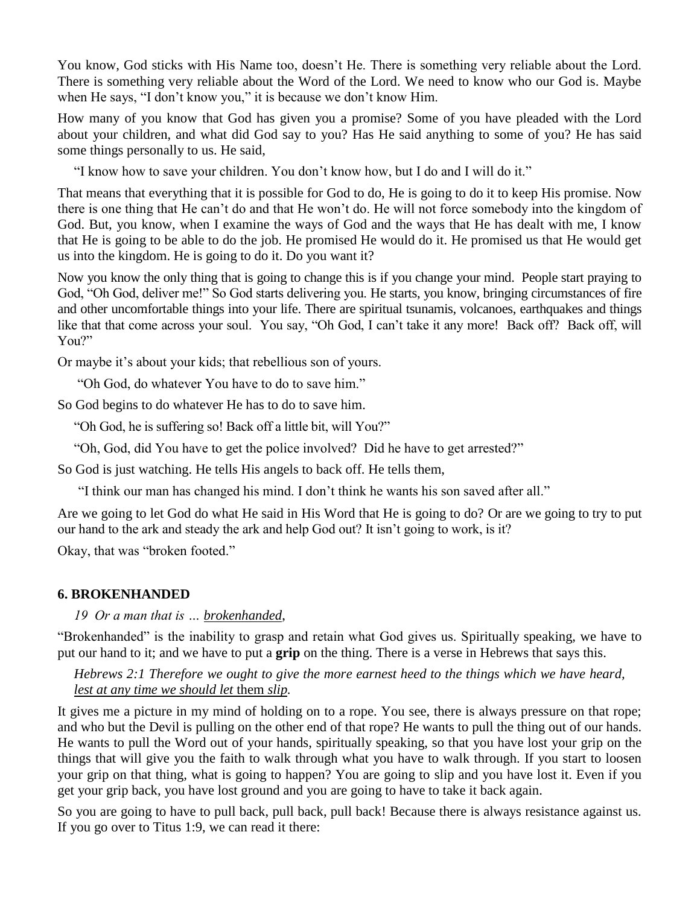You know, God sticks with His Name too, doesn't He. There is something very reliable about the Lord. There is something very reliable about the Word of the Lord. We need to know who our God is. Maybe when He says, "I don't know you," it is because we don't know Him.

How many of you know that God has given you a promise? Some of you have pleaded with the Lord about your children, and what did God say to you? Has He said anything to some of you? He has said some things personally to us. He said,

"I know how to save your children. You don't know how, but I do and I will do it."

That means that everything that it is possible for God to do, He is going to do it to keep His promise. Now there is one thing that He can't do and that He won't do. He will not force somebody into the kingdom of God. But, you know, when I examine the ways of God and the ways that He has dealt with me, I know that He is going to be able to do the job. He promised He would do it. He promised us that He would get us into the kingdom. He is going to do it. Do you want it?

Now you know the only thing that is going to change this is if you change your mind. People start praying to God, "Oh God, deliver me!" So God starts delivering you. He starts, you know, bringing circumstances of fire and other uncomfortable things into your life. There are spiritual tsunamis, volcanoes, earthquakes and things like that that come across your soul. You say, "Oh God, I can't take it any more! Back off? Back off, will You?"

Or maybe it's about your kids; that rebellious son of yours.

"Oh God, do whatever You have to do to save him."

So God begins to do whatever He has to do to save him.

"Oh God, he is suffering so! Back off a little bit, will You?"

"Oh, God, did You have to get the police involved? Did he have to get arrested?"

So God is just watching. He tells His angels to back off. He tells them,

"I think our man has changed his mind. I don't think he wants his son saved after all."

Are we going to let God do what He said in His Word that He is going to do? Or are we going to try to put our hand to the ark and steady the ark and help God out? It isn't going to work, is it?

Okay, that was "broken footed."

## **6. BROKENHANDED**

#### *19 Or a man that is … brokenhanded*,

"Brokenhanded" is the inability to grasp and retain what God gives us. Spiritually speaking, we have to put our hand to it; and we have to put a **grip** on the thing. There is a verse in Hebrews that says this.

#### *Hebrews 2:1 Therefore we ought to give the more earnest heed to the things which we have heard, lest at any time we should let* them *slip.*

It gives me a picture in my mind of holding on to a rope. You see, there is always pressure on that rope; and who but the Devil is pulling on the other end of that rope? He wants to pull the thing out of our hands. He wants to pull the Word out of your hands, spiritually speaking, so that you have lost your grip on the things that will give you the faith to walk through what you have to walk through. If you start to loosen your grip on that thing, what is going to happen? You are going to slip and you have lost it. Even if you get your grip back, you have lost ground and you are going to have to take it back again.

So you are going to have to pull back, pull back, pull back! Because there is always resistance against us. If you go over to Titus 1:9, we can read it there: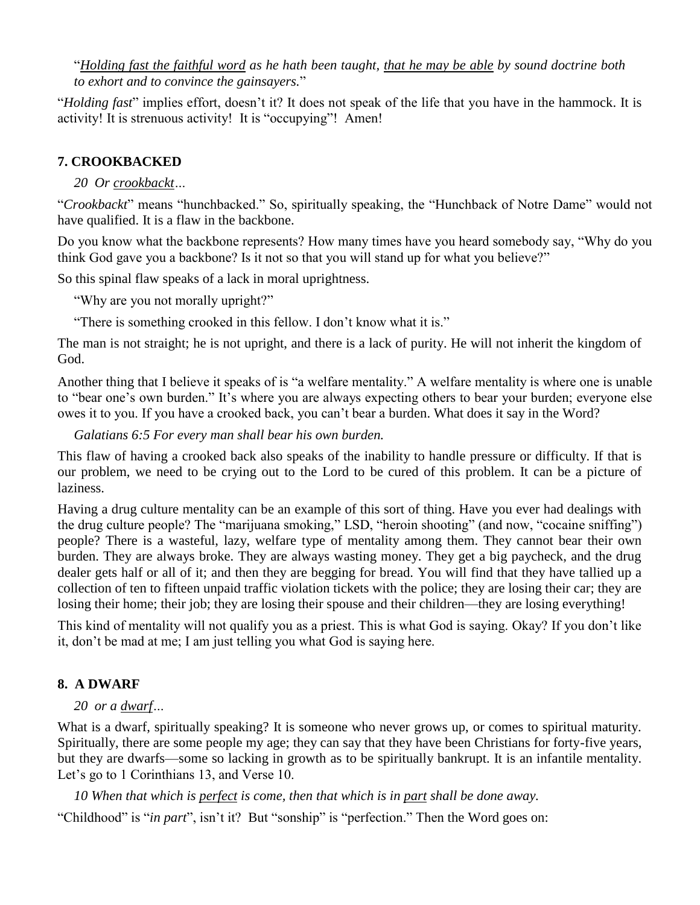"*Holding fast the faithful word as he hath been taught, that he may be able by sound doctrine both to exhort and to convince the gainsayers.*"

"*Holding fast*" implies effort, doesn't it? It does not speak of the life that you have in the hammock. It is activity! It is strenuous activity! It is "occupying"! Amen!

## **7. CROOKBACKED**

## *20 Or crookbackt…*

"*Crookbackt*" means "hunchbacked." So, spiritually speaking, the "Hunchback of Notre Dame" would not have qualified. It is a flaw in the backbone.

Do you know what the backbone represents? How many times have you heard somebody say, "Why do you think God gave you a backbone? Is it not so that you will stand up for what you believe?"

So this spinal flaw speaks of a lack in moral uprightness.

"Why are you not morally upright?"

"There is something crooked in this fellow. I don't know what it is."

The man is not straight; he is not upright, and there is a lack of purity. He will not inherit the kingdom of God.

Another thing that I believe it speaks of is "a welfare mentality." A welfare mentality is where one is unable to "bear one's own burden." It's where you are always expecting others to bear your burden; everyone else owes it to you. If you have a crooked back, you can't bear a burden. What does it say in the Word?

*Galatians 6:5 For every man shall bear his own burden.*

This flaw of having a crooked back also speaks of the inability to handle pressure or difficulty. If that is our problem, we need to be crying out to the Lord to be cured of this problem. It can be a picture of laziness.

Having a drug culture mentality can be an example of this sort of thing. Have you ever had dealings with the drug culture people? The "marijuana smoking," LSD, "heroin shooting" (and now, "cocaine sniffing") people? There is a wasteful, lazy, welfare type of mentality among them. They cannot bear their own burden. They are always broke. They are always wasting money. They get a big paycheck, and the drug dealer gets half or all of it; and then they are begging for bread. You will find that they have tallied up a collection of ten to fifteen unpaid traffic violation tickets with the police; they are losing their car; they are losing their home; their job; they are losing their spouse and their children—they are losing everything!

This kind of mentality will not qualify you as a priest. This is what God is saying. Okay? If you don't like it, don't be mad at me; I am just telling you what God is saying here.

## **8. A DWARF**

## *20 or a dwarf…*

What is a dwarf, spiritually speaking? It is someone who never grows up, or comes to spiritual maturity. Spiritually, there are some people my age; they can say that they have been Christians for forty-five years, but they are dwarfs—some so lacking in growth as to be spiritually bankrupt. It is an infantile mentality. Let's go to 1 Corinthians 13, and Verse 10.

*10 When that which is perfect is come, then that which is in part shall be done away.*

"Childhood" is "*in part*", isn't it? But "sonship" is "perfection." Then the Word goes on: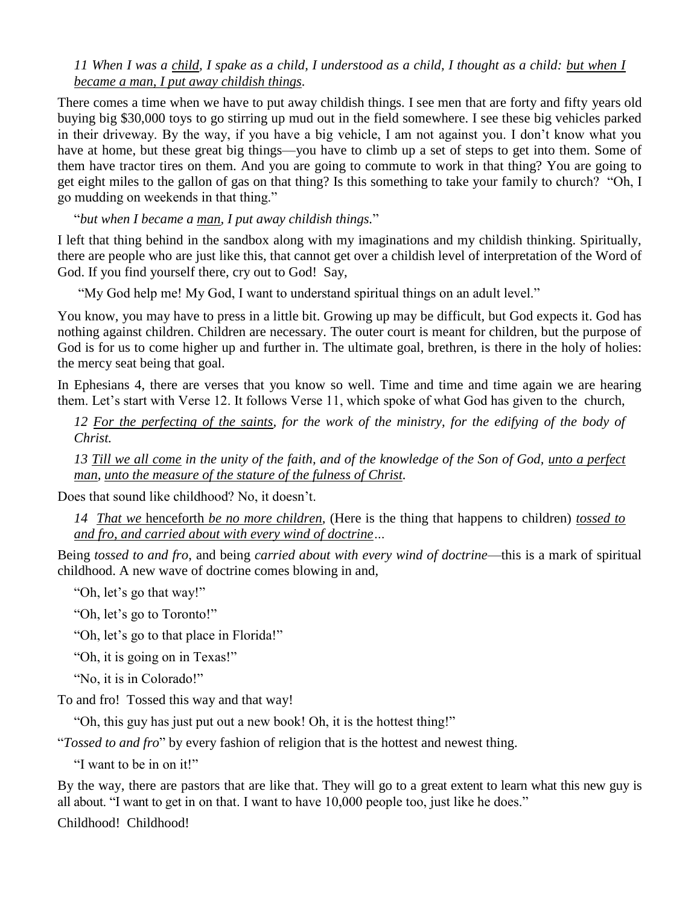*11 When I was a child, I spake as a child, I understood as a child, I thought as a child: but when I became a man, I put away childish things.*

There comes a time when we have to put away childish things. I see men that are forty and fifty years old buying big \$30,000 toys to go stirring up mud out in the field somewhere. I see these big vehicles parked in their driveway. By the way, if you have a big vehicle, I am not against you. I don't know what you have at home, but these great big things—you have to climb up a set of steps to get into them. Some of them have tractor tires on them. And you are going to commute to work in that thing? You are going to get eight miles to the gallon of gas on that thing? Is this something to take your family to church? "Oh, I go mudding on weekends in that thing."

"*but when I became a man, I put away childish things.*"

I left that thing behind in the sandbox along with my imaginations and my childish thinking. Spiritually, there are people who are just like this, that cannot get over a childish level of interpretation of the Word of God. If you find yourself there, cry out to God! Say,

"My God help me! My God, I want to understand spiritual things on an adult level."

You know, you may have to press in a little bit. Growing up may be difficult, but God expects it. God has nothing against children. Children are necessary. The outer court is meant for children, but the purpose of God is for us to come higher up and further in. The ultimate goal, brethren, is there in the holy of holies: the mercy seat being that goal.

In Ephesians 4, there are verses that you know so well. Time and time and time again we are hearing them. Let's start with Verse 12. It follows Verse 11, which spoke of what God has given to the church,

*12 For the perfecting of the saints, for the work of the ministry, for the edifying of the body of Christ.*

*13 Till we all come in the unity of the faith, and of the knowledge of the Son of God, unto a perfect man, unto the measure of the stature of the fulness of Christ.* 

Does that sound like childhood? No, it doesn't.

*14 That we* henceforth *be no more children,* (Here is the thing that happens to children) *tossed to and fro, and carried about with every wind of doctrine…*

Being *tossed to and fro*, and being *carried about with every wind of doctrine*—this is a mark of spiritual childhood. A new wave of doctrine comes blowing in and,

"Oh, let's go that way!"

"Oh, let's go to Toronto!"

"Oh, let's go to that place in Florida!"

"Oh, it is going on in Texas!"

"No, it is in Colorado!"

To and fro! Tossed this way and that way!

"Oh, this guy has just put out a new book! Oh, it is the hottest thing!"

"*Tossed to and fro*" by every fashion of religion that is the hottest and newest thing.

"I want to be in on it!"

By the way, there are pastors that are like that. They will go to a great extent to learn what this new guy is all about. "I want to get in on that. I want to have 10,000 people too, just like he does."

Childhood! Childhood!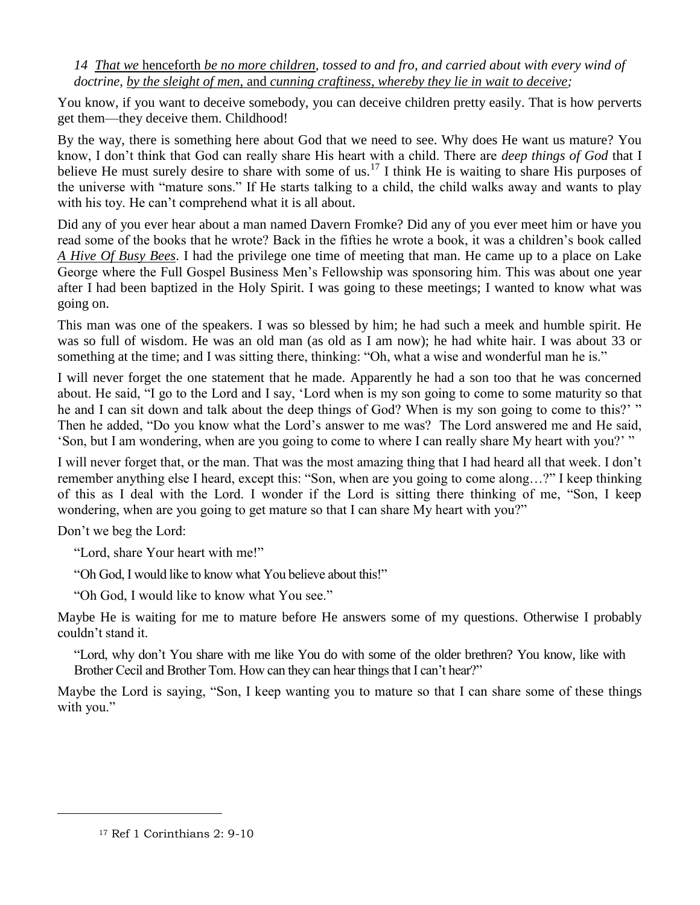*14 That we* henceforth *be no more children, tossed to and fro, and carried about with every wind of doctrine, by the sleight of men,* and *cunning craftiness, whereby they lie in wait to deceive;*

You know, if you want to deceive somebody, you can deceive children pretty easily. That is how perverts get them—they deceive them. Childhood!

By the way, there is something here about God that we need to see. Why does He want us mature? You know, I don't think that God can really share His heart with a child. There are *deep things of God* that I believe He must surely desire to share with some of us.<sup>17</sup> I think He is waiting to share His purposes of the universe with "mature sons." If He starts talking to a child, the child walks away and wants to play with his toy. He can't comprehend what it is all about.

Did any of you ever hear about a man named Davern Fromke? Did any of you ever meet him or have you read some of the books that he wrote? Back in the fifties he wrote a book, it was a children's book called *A Hive Of Busy Bees*. I had the privilege one time of meeting that man. He came up to a place on Lake George where the Full Gospel Business Men's Fellowship was sponsoring him. This was about one year after I had been baptized in the Holy Spirit. I was going to these meetings; I wanted to know what was going on.

This man was one of the speakers. I was so blessed by him; he had such a meek and humble spirit. He was so full of wisdom. He was an old man (as old as I am now); he had white hair. I was about 33 or something at the time; and I was sitting there, thinking: "Oh, what a wise and wonderful man he is."

I will never forget the one statement that he made. Apparently he had a son too that he was concerned about. He said, "I go to the Lord and I say, 'Lord when is my son going to come to some maturity so that he and I can sit down and talk about the deep things of God? When is my son going to come to this?' " Then he added, "Do you know what the Lord's answer to me was? The Lord answered me and He said, 'Son, but I am wondering, when are you going to come to where I can really share My heart with you?' "

I will never forget that, or the man. That was the most amazing thing that I had heard all that week. I don't remember anything else I heard, except this: "Son, when are you going to come along…?" I keep thinking of this as I deal with the Lord. I wonder if the Lord is sitting there thinking of me, "Son, I keep wondering, when are you going to get mature so that I can share My heart with you?"

Don't we beg the Lord:

 $\overline{a}$ 

"Lord, share Your heart with me!"

"Oh God, I would like to know what You believe about this!"

"Oh God, I would like to know what You see."

Maybe He is waiting for me to mature before He answers some of my questions. Otherwise I probably couldn't stand it.

"Lord, why don't You share with me like You do with some of the older brethren? You know, like with Brother Cecil and Brother Tom. How can they can hear things that I can't hear?"

Maybe the Lord is saying, "Son, I keep wanting you to mature so that I can share some of these things with you."

<sup>17</sup> Ref 1 Corinthians 2: 9-10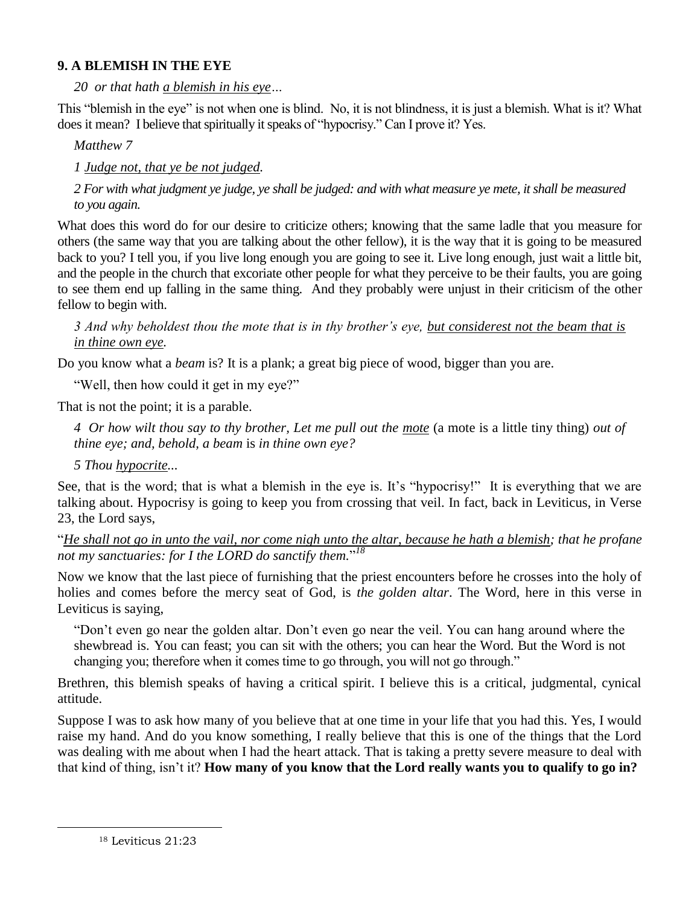## **9. A BLEMISH IN THE EYE**

*20 or that hath a blemish in his eye…*

This "blemish in the eye" is not when one is blind. No, it is not blindness, it is just a blemish. What is it? What does it mean? I believe that spiritually it speaks of "hypocrisy." Can I prove it? Yes.

*Matthew 7*

*1 Judge not, that ye be not judged.*

*2 For with what judgment ye judge, ye shall be judged: and with what measure ye mete, it shall be measured to you again.* 

What does this word do for our desire to criticize others; knowing that the same ladle that you measure for others (the same way that you are talking about the other fellow), it is the way that it is going to be measured back to you? I tell you, if you live long enough you are going to see it. Live long enough, just wait a little bit, and the people in the church that excoriate other people for what they perceive to be their faults, you are going to see them end up falling in the same thing. And they probably were unjust in their criticism of the other fellow to begin with.

*3 And why beholdest thou the mote that is in thy brother's eye, but considerest not the beam that is in thine own eye.*

Do you know what a *beam* is? It is a plank; a great big piece of wood, bigger than you are.

"Well, then how could it get in my eye?"

That is not the point; it is a parable.

*4 Or how wilt thou say to thy brother, Let me pull out the mote* (a mote is a little tiny thing) *out of thine eye; and, behold, a beam* is *in thine own eye?*

*5 Thou hypocrite...*

See, that is the word; that is what a blemish in the eye is. It's "hypocrisy!" It is everything that we are talking about. Hypocrisy is going to keep you from crossing that veil. In fact, back in Leviticus, in Verse 23, the Lord says,

"*He shall not go in unto the vail, nor come nigh unto the altar, because he hath a blemish; that he profane not my sanctuaries: for I the LORD do sanctify them.*" *18*

Now we know that the last piece of furnishing that the priest encounters before he crosses into the holy of holies and comes before the mercy seat of God, is *the golden altar*. The Word, here in this verse in Leviticus is saying,

"Don't even go near the golden altar. Don't even go near the veil. You can hang around where the shewbread is. You can feast; you can sit with the others; you can hear the Word. But the Word is not changing you; therefore when it comes time to go through, you will not go through."

Brethren, this blemish speaks of having a critical spirit. I believe this is a critical, judgmental, cynical attitude.

Suppose I was to ask how many of you believe that at one time in your life that you had this. Yes, I would raise my hand. And do you know something, I really believe that this is one of the things that the Lord was dealing with me about when I had the heart attack. That is taking a pretty severe measure to deal with that kind of thing, isn't it? **How many of you know that the Lord really wants you to qualify to go in?**

<sup>18</sup> Leviticus 21:23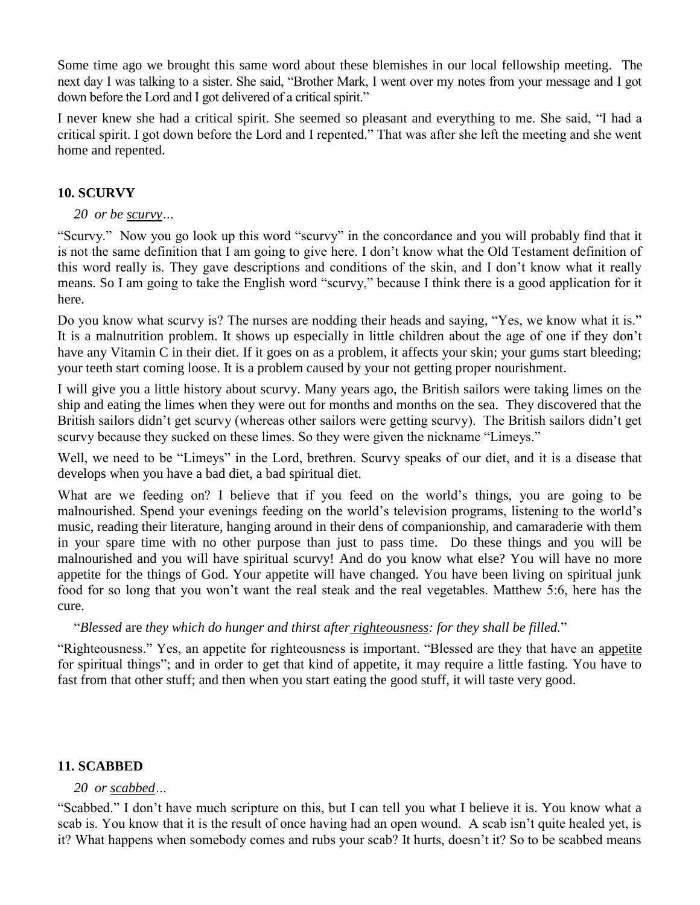Some time ago we brought this same word about these blemishes in our local fellowship meeting. The next day I was talking to a sister. She said, "Brother Mark, I went over my notes from your message and I got down before the Lord and I got delivered of a critical spirit."

I never knew she had a critical spirit. She seemed so pleasant and everything to me. She said, "I had a critical spirit. I got down before the Lord and I repented." That was after she left the meeting and she went home and repented.

## **10. SCURVY**

## *20 or be scurvy…*

"Scurvy." Now you go look up this word "scurvy" in the concordance and you will probably find that it is not the same definition that I am going to give here. I don't know what the Old Testament definition of this word really is. They gave descriptions and conditions of the skin, and I don't know what it really means. So I am going to take the English word "scurvy," because I think there is a good application for it here.

Do you know what scurvy is? The nurses are nodding their heads and saying, "Yes, we know what it is." It is a malnutrition problem. It shows up especially in little children about the age of one if they don't have any Vitamin C in their diet. If it goes on as a problem, it affects your skin; your gums start bleeding; your teeth start coming loose. It is a problem caused by your not getting proper nourishment.

I will give you a little history about scurvy. Many years ago, the British sailors were taking limes on the ship and eating the limes when they were out for months and months on the sea. They discovered that the British sailors didn't get scurvy (whereas other sailors were getting scurvy). The British sailors didn't get scurvy because they sucked on these limes. So they were given the nickname "Limeys."

Well, we need to be "Limeys" in the Lord, brethren. Scurvy speaks of our diet, and it is a disease that develops when you have a bad diet, a bad spiritual diet.

What are we feeding on? I believe that if you feed on the world's things, you are going to be malnourished. Spend your evenings feeding on the world's television programs, listening to the world's music, reading their literature, hanging around in their dens of companionship, and camaraderie with them in your spare time with no other purpose than just to pass time. Do these things and you will be malnourished and you will have spiritual scurvy! And do you know what else? You will have no more appetite for the things of God. Your appetite will have changed. You have been living on spiritual junk food for so long that you won't want the real steak and the real vegetables. Matthew 5:6, here has the cure.

## "*Blessed* are *they which do hunger and thirst after righteousness: for they shall be filled.*"

"Righteousness." Yes, an appetite for righteousness is important. "Blessed are they that have an appetite for spiritual things"; and in order to get that kind of appetite, it may require a little fasting. You have to fast from that other stuff; and then when you start eating the good stuff, it will taste very good.

## **11. SCABBED**

## *20 or scabbed…*

"Scabbed." I don't have much scripture on this, but I can tell you what I believe it is. You know what a scab is. You know that it is the result of once having had an open wound. A scab isn't quite healed yet, is it? What happens when somebody comes and rubs your scab? It hurts, doesn't it? So to be scabbed means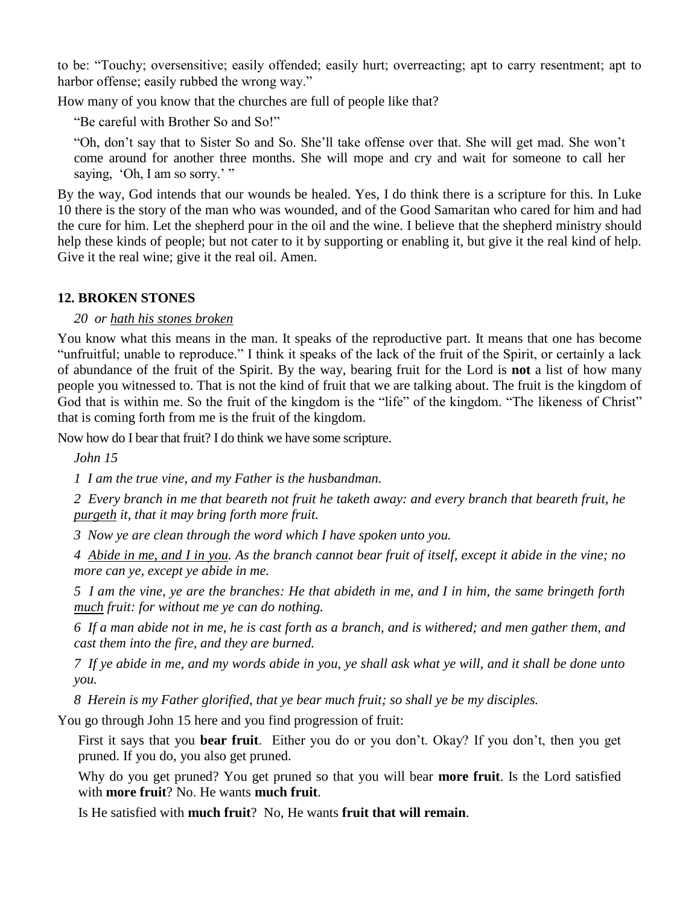to be: "Touchy; oversensitive; easily offended; easily hurt; overreacting; apt to carry resentment; apt to harbor offense; easily rubbed the wrong way."

How many of you know that the churches are full of people like that?

"Be careful with Brother So and So!"

"Oh, don't say that to Sister So and So. She'll take offense over that. She will get mad. She won't come around for another three months. She will mope and cry and wait for someone to call her saying, 'Oh, I am so sorry.' "

By the way, God intends that our wounds be healed. Yes, I do think there is a scripture for this. In Luke 10 there is the story of the man who was wounded, and of the Good Samaritan who cared for him and had the cure for him. Let the shepherd pour in the oil and the wine. I believe that the shepherd ministry should help these kinds of people; but not cater to it by supporting or enabling it, but give it the real kind of help. Give it the real wine; give it the real oil. Amen.

#### **12. BROKEN STONES**

#### *20 or hath his stones broken*

You know what this means in the man. It speaks of the reproductive part. It means that one has become "unfruitful; unable to reproduce." I think it speaks of the lack of the fruit of the Spirit, or certainly a lack of abundance of the fruit of the Spirit. By the way, bearing fruit for the Lord is **not** a list of how many people you witnessed to. That is not the kind of fruit that we are talking about. The fruit is the kingdom of God that is within me. So the fruit of the kingdom is the "life" of the kingdom. "The likeness of Christ" that is coming forth from me is the fruit of the kingdom.

Now how do I bear that fruit? I do think we have some scripture.

*John 15*

*1 I am the true vine, and my Father is the husbandman.*

*2 Every branch in me that beareth not fruit he taketh away: and every branch that beareth fruit, he purgeth it, that it may bring forth more fruit.*

*3 Now ye are clean through the word which I have spoken unto you.*

*4 Abide in me, and I in you. As the branch cannot bear fruit of itself, except it abide in the vine; no more can ye, except ye abide in me.*

*5 I am the vine, ye are the branches: He that abideth in me, and I in him, the same bringeth forth much fruit: for without me ye can do nothing.*

*6 If a man abide not in me, he is cast forth as a branch, and is withered; and men gather them, and cast them into the fire, and they are burned.*

*7 If ye abide in me, and my words abide in you, ye shall ask what ye will, and it shall be done unto you.*

*8 Herein is my Father glorified, that ye bear much fruit; so shall ye be my disciples.*

You go through John 15 here and you find progression of fruit:

First it says that you **bear fruit**. Either you do or you don't. Okay? If you don't, then you get pruned. If you do, you also get pruned.

Why do you get pruned? You get pruned so that you will bear **more fruit**. Is the Lord satisfied with **more fruit**? No. He wants **much fruit**.

Is He satisfied with **much fruit**? No, He wants **fruit that will remain**.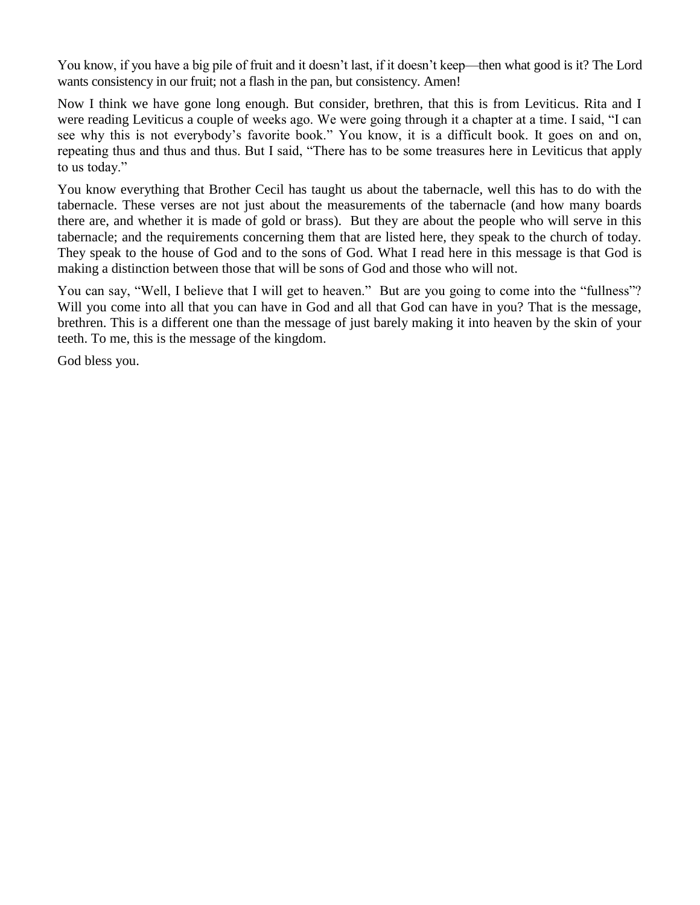You know, if you have a big pile of fruit and it doesn't last, if it doesn't keep—then what good is it? The Lord wants consistency in our fruit; not a flash in the pan, but consistency. Amen!

Now I think we have gone long enough. But consider, brethren, that this is from Leviticus. Rita and I were reading Leviticus a couple of weeks ago. We were going through it a chapter at a time. I said, "I can see why this is not everybody's favorite book." You know, it is a difficult book. It goes on and on, repeating thus and thus and thus. But I said, "There has to be some treasures here in Leviticus that apply to us today."

You know everything that Brother Cecil has taught us about the tabernacle, well this has to do with the tabernacle. These verses are not just about the measurements of the tabernacle (and how many boards there are, and whether it is made of gold or brass). But they are about the people who will serve in this tabernacle; and the requirements concerning them that are listed here, they speak to the church of today. They speak to the house of God and to the sons of God. What I read here in this message is that God is making a distinction between those that will be sons of God and those who will not.

You can say, "Well, I believe that I will get to heaven." But are you going to come into the "fullness"? Will you come into all that you can have in God and all that God can have in you? That is the message, brethren. This is a different one than the message of just barely making it into heaven by the skin of your teeth. To me, this is the message of the kingdom.

God bless you.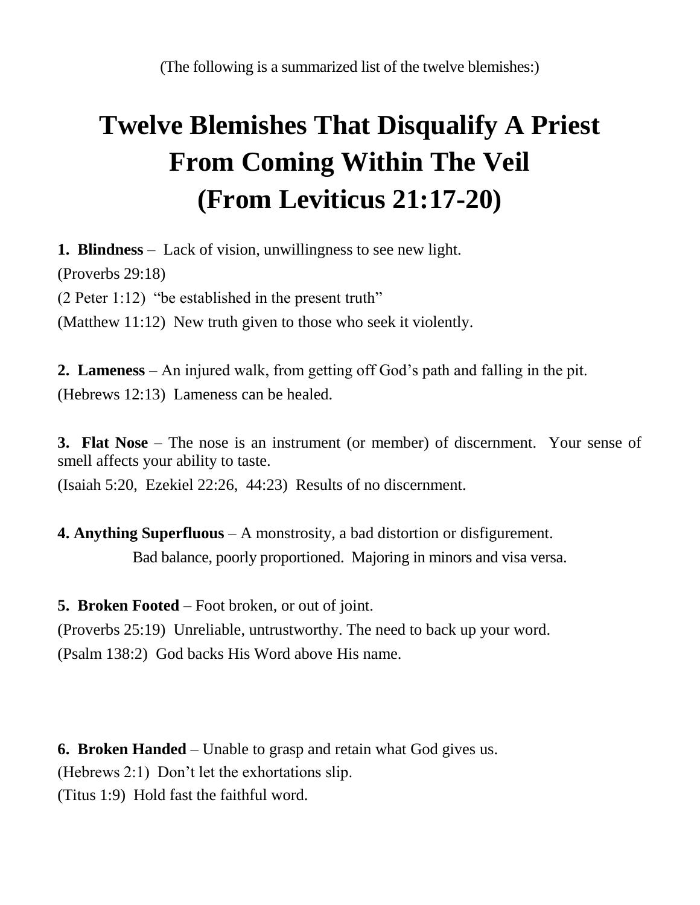(The following is a summarized list of the twelve blemishes:)

# **Twelve Blemishes That Disqualify A Priest From Coming Within The Veil (From Leviticus 21:17-20)**

**1. Blindness** – Lack of vision, unwillingness to see new light.

(Proverbs 29:18)

(2 Peter 1:12) "be established in the present truth"

(Matthew 11:12) New truth given to those who seek it violently.

**2. Lameness** – An injured walk, from getting off God's path and falling in the pit. (Hebrews 12:13) Lameness can be healed.

**3. Flat Nose** – The nose is an instrument (or member) of discernment. Your sense of smell affects your ability to taste.

(Isaiah 5:20, Ezekiel 22:26, 44:23) Results of no discernment.

**4. Anything Superfluous** – A monstrosity, a bad distortion or disfigurement. Bad balance, poorly proportioned. Majoring in minors and visa versa.

**5. Broken Footed** – Foot broken, or out of joint.

(Proverbs 25:19) Unreliable, untrustworthy. The need to back up your word. (Psalm 138:2) God backs His Word above His name.

**6. Broken Handed** – Unable to grasp and retain what God gives us.

(Hebrews 2:1) Don't let the exhortations slip.

(Titus 1:9) Hold fast the faithful word.